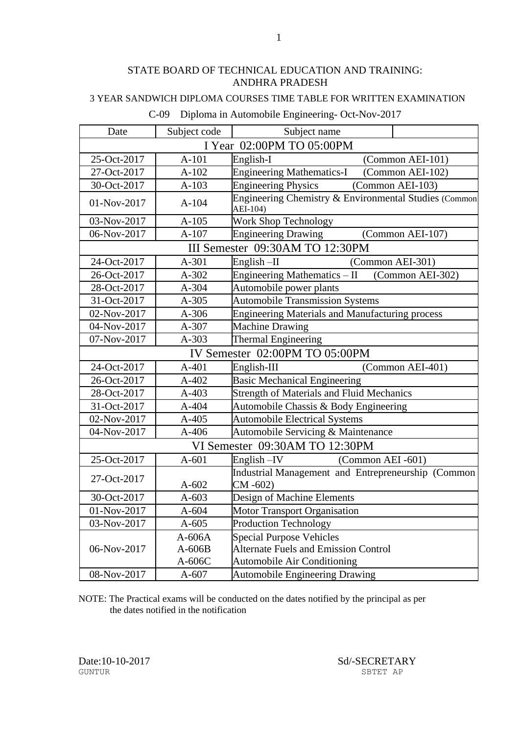#### 3 YEAR SANDWICH DIPLOMA COURSES TIME TABLE FOR WRITTEN EXAMINATION

| Date                           | Subject code              | Subject name                                                      |                  |  |  |
|--------------------------------|---------------------------|-------------------------------------------------------------------|------------------|--|--|
|                                | I Year 02:00PM TO 05:00PM |                                                                   |                  |  |  |
| 25-Oct-2017                    | $A-101$                   | English-I                                                         | (Common AEI-101) |  |  |
| 27-Oct-2017                    | $A-102$                   | <b>Engineering Mathematics-I</b>                                  | (Common AEI-102) |  |  |
| 30-Oct-2017                    | $A-103$                   | <b>Engineering Physics</b>                                        | (Common AEI-103) |  |  |
| 01-Nov-2017                    | $A-104$                   | Engineering Chemistry & Environmental Studies (Common<br>AEI-104) |                  |  |  |
| 03-Nov-2017                    | $A-105$                   | Work Shop Technology                                              |                  |  |  |
| 06-Nov-2017                    | $A-107$                   | <b>Engineering Drawing</b>                                        | (Common AEI-107) |  |  |
|                                |                           | III Semester 09:30AM TO 12:30PM                                   |                  |  |  |
| 24-Oct-2017                    | A-301                     | English $-II$                                                     | (Common AEI-301) |  |  |
| 26-Oct-2017                    | A-302                     | Engineering Mathematics - II                                      | (Common AEI-302) |  |  |
| 28-Oct-2017                    | A-304                     | Automobile power plants                                           |                  |  |  |
| 31-Oct-2017                    | $A-305$                   | <b>Automobile Transmission Systems</b>                            |                  |  |  |
| 02-Nov-2017                    | A-306                     | <b>Engineering Materials and Manufacturing process</b>            |                  |  |  |
| 04-Nov-2017                    | A-307                     | <b>Machine Drawing</b>                                            |                  |  |  |
| 07-Nov-2017                    | A-303                     | <b>Thermal Engineering</b>                                        |                  |  |  |
| IV Semester 02:00PM TO 05:00PM |                           |                                                                   |                  |  |  |
| 24-Oct-2017                    | $A-401$                   | English-III                                                       | (Common AEI-401) |  |  |
| 26-Oct-2017                    | $A-402$                   | <b>Basic Mechanical Engineering</b>                               |                  |  |  |
| 28-Oct-2017                    | A-403                     | <b>Strength of Materials and Fluid Mechanics</b>                  |                  |  |  |
| 31-Oct-2017                    | A-404                     | Automobile Chassis & Body Engineering                             |                  |  |  |
| 02-Nov-2017                    | A-405                     | <b>Automobile Electrical Systems</b>                              |                  |  |  |
| 04-Nov-2017                    | $A-406$                   | Automobile Servicing & Maintenance                                |                  |  |  |
|                                |                           | VI Semester 09:30AM TO 12:30PM                                    |                  |  |  |
| 25-Oct-2017                    | $A-601$                   | English-IV<br>(Common AEI -601)                                   |                  |  |  |
| 27-Oct-2017                    |                           | Industrial Management and Entrepreneurship (Common                |                  |  |  |
|                                | $A-602$                   | $CM - 602$                                                        |                  |  |  |
| 30-Oct-2017                    | $A-603$                   | Design of Machine Elements                                        |                  |  |  |
| 01-Nov-2017                    | $A-604$                   | <b>Motor Transport Organisation</b>                               |                  |  |  |
| 03-Nov-2017                    | $A-605$                   | <b>Production Technology</b>                                      |                  |  |  |
|                                | $A-606A$                  | <b>Special Purpose Vehicles</b>                                   |                  |  |  |
| 06-Nov-2017                    | $A-606B$                  | <b>Alternate Fuels and Emission Control</b>                       |                  |  |  |
|                                | $A-606C$                  | <b>Automobile Air Conditioning</b>                                |                  |  |  |
| 08-Nov-2017                    | $A-607$                   | Automobile Engineering Drawing                                    |                  |  |  |

### C-09 Diploma in Automobile Engineering- Oct-Nov-2017

NOTE: The Practical exams will be conducted on the dates notified by the principal as per the dates notified in the notification

GUNTUR SBTET AP

Date:10-10-2017 Sd/-SECRETARY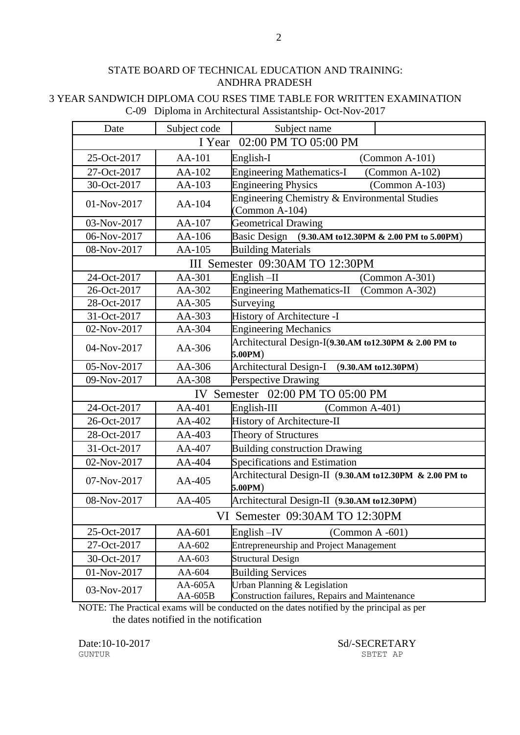#### 3 YEAR SANDWICH DIPLOMA COU RSES TIME TABLE FOR WRITTEN EXAMINATION C-09 Diploma in Architectural Assistantship- Oct-Nov-2017

| Date                           | Subject code         | Subject name                                                                   |  |
|--------------------------------|----------------------|--------------------------------------------------------------------------------|--|
| 02:00 PM TO 05:00 PM<br>I Year |                      |                                                                                |  |
| 25-Oct-2017                    | AA-101               | English-I<br>$(Common A-101)$                                                  |  |
| 27-Oct-2017                    | AA-102               | <b>Engineering Mathematics-I</b><br>$(Common A-102)$                           |  |
| 30-Oct-2017                    | AA-103               | <b>Engineering Physics</b><br>$(Common A-103)$                                 |  |
| 01-Nov-2017                    | AA-104               | Engineering Chemistry & Environmental Studies<br>(Common A-104)                |  |
| 03-Nov-2017                    | AA-107               | <b>Geometrical Drawing</b>                                                     |  |
| 06-Nov-2017                    | AA-106               | Basic Design (9.30.AM to 12.30PM & 2.00 PM to 5.00PM)                          |  |
| 08-Nov-2017                    | $AA-105$             | <b>Building Materials</b>                                                      |  |
|                                |                      | III Semester 09:30AM TO 12:30PM                                                |  |
| 24-Oct-2017                    | AA-301               | English $-II$<br>$(Common A-301)$                                              |  |
| 26-Oct-2017                    | AA-302               | <b>Engineering Mathematics-II</b><br>$(Common A-302)$                          |  |
| 28-Oct-2017                    | AA-305               | Surveying                                                                      |  |
| 31-Oct-2017                    | AA-303               | History of Architecture -I                                                     |  |
| 02-Nov-2017                    | AA-304               | <b>Engineering Mechanics</b>                                                   |  |
| 04-Nov-2017                    | AA-306               | Architectural Design-I(9.30.AM to12.30PM & 2.00 PM to<br>5.00PM)               |  |
| 05-Nov-2017                    | AA-306               | Architectural Design-I (9.30.AM to12.30PM)                                     |  |
| 09-Nov-2017                    | AA-308               | Perspective Drawing                                                            |  |
|                                |                      | IV Semester 02:00 PM TO 05:00 PM                                               |  |
| 24-Oct-2017                    | $AA-401$             | English-III<br>$(Common A-401)$                                                |  |
| 26-Oct-2017                    | AA-402               | History of Architecture-II                                                     |  |
| 28-Oct-2017                    | AA-403               | Theory of Structures                                                           |  |
| 31-Oct-2017                    | AA-407               | <b>Building construction Drawing</b>                                           |  |
| 02-Nov-2017                    | AA-404               | Specifications and Estimation                                                  |  |
| 07-Nov-2017                    | AA-405               | Architectural Design-II (9.30.AM to12.30PM & 2.00 PM to<br>5.00PM)             |  |
| 08-Nov-2017                    | $AA-405$             | Architectural Design-II (9.30.AM to12.30PM)                                    |  |
|                                |                      | VI Semester 09:30AM TO 12:30PM                                                 |  |
| 25-Oct-2017                    | AA-601               | $English - IV$<br>(Common $A - 601$ )                                          |  |
| 27-Oct-2017                    | AA-602               | <b>Entrepreneurship and Project Management</b>                                 |  |
| 30-Oct-2017                    | AA-603               | <b>Structural Design</b>                                                       |  |
| 01-Nov-2017                    | AA-604               | <b>Building Services</b>                                                       |  |
| 03-Nov-2017                    | $AA-605A$<br>AA-605B | Urban Planning & Legislation<br>Construction failures, Repairs and Maintenance |  |

NOTE: The Practical exams will be conducted on the dates notified by the principal as per the dates notified in the notification

Date:10-10-2017 Sd/-SECRETARY SECRETARY SETTLE SBTET AP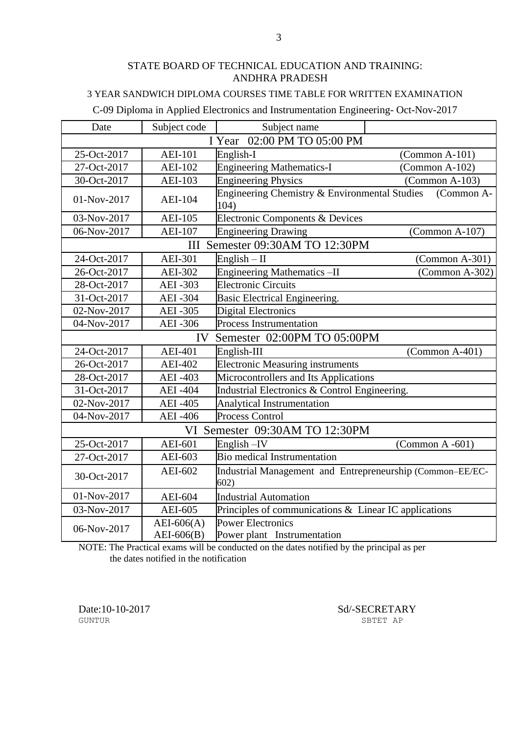### 3 YEAR SANDWICH DIPLOMA COURSES TIME TABLE FOR WRITTEN EXAMINATION

#### C-09 Diploma in Applied Electronics and Instrumentation Engineering- Oct-Nov-2017

| Date                        | Subject code                      | Subject name                                                      |                     |  |
|-----------------------------|-----------------------------------|-------------------------------------------------------------------|---------------------|--|
| I Year 02:00 PM TO 05:00 PM |                                   |                                                                   |                     |  |
| 25-Oct-2017                 | <b>AEI-101</b>                    | English-I                                                         | $(Common A-101)$    |  |
| 27-Oct-2017                 | <b>AEI-102</b>                    | <b>Engineering Mathematics-I</b>                                  | $(Common A-102)$    |  |
| 30-Oct-2017                 | <b>AEI-103</b>                    | <b>Engineering Physics</b>                                        | $(Common A-103)$    |  |
| 01-Nov-2017                 | <b>AEI-104</b>                    | Engineering Chemistry & Environmental Studies<br>104)             | (Common A-          |  |
| 03-Nov-2017                 | <b>AEI-105</b>                    | Electronic Components & Devices                                   |                     |  |
| 06-Nov-2017                 | <b>AEI-107</b>                    | <b>Engineering Drawing</b>                                        | $(Common A-107)$    |  |
|                             | Ш                                 | Semester 09:30AM TO 12:30PM                                       |                     |  |
| 24-Oct-2017                 | <b>AEI-301</b>                    | English $-$ II                                                    | $(Common A-301)$    |  |
| 26-Oct-2017                 | <b>AEI-302</b>                    | Engineering Mathematics-II                                        | $(Common A-302)$    |  |
| 28-Oct-2017                 | <b>AEI-303</b>                    | <b>Electronic Circuits</b>                                        |                     |  |
| 31-Oct-2017                 | <b>AEI-304</b>                    | Basic Electrical Engineering.                                     |                     |  |
| 02-Nov-2017                 | <b>AEI-305</b>                    | <b>Digital Electronics</b>                                        |                     |  |
| 04-Nov-2017                 | <b>AEI-306</b>                    | <b>Process Instrumentation</b>                                    |                     |  |
|                             | Semester 02:00PM TO 05:00PM<br>IV |                                                                   |                     |  |
| 24-Oct-2017                 | <b>AEI-401</b>                    | English-III                                                       | $(Common A-401)$    |  |
| 26-Oct-2017                 | <b>AEI-402</b>                    | <b>Electronic Measuring instruments</b>                           |                     |  |
| 28-Oct-2017                 | <b>AEI-403</b>                    | Microcontrollers and Its Applications                             |                     |  |
| 31-Oct-2017                 | <b>AEI-404</b>                    | Industrial Electronics & Control Engineering.                     |                     |  |
| 02-Nov-2017                 | <b>AEI-405</b>                    | <b>Analytical Instrumentation</b>                                 |                     |  |
| 04-Nov-2017                 | <b>AEI</b> -406                   | <b>Process Control</b>                                            |                     |  |
|                             |                                   | VI Semester 09:30AM TO 12:30PM                                    |                     |  |
| 25-Oct-2017                 | AEI-601                           | English-IV                                                        | (Common $A - 601$ ) |  |
| 27-Oct-2017                 | AEI-603                           | <b>Bio medical Instrumentation</b>                                |                     |  |
| 30-Oct-2017                 | AEI-602                           | Industrial Management and Entrepreneurship (Common-EE/EC-<br>602) |                     |  |
| 01-Nov-2017                 | <b>AEI-604</b>                    | <b>Industrial Automation</b>                                      |                     |  |
| 03-Nov-2017                 | AEI-605                           | Principles of communications & Linear IC applications             |                     |  |
| 06-Nov-2017                 | $AEI-606(A)$<br>$AEI-606(B)$      | <b>Power Electronics</b><br>Power plant Instrumentation           |                     |  |

NOTE: The Practical exams will be conducted on the dates notified by the principal as per the dates notified in the notification

GUNTUR SBTET AP

Date:10-10-2017 Sd/-SECRETARY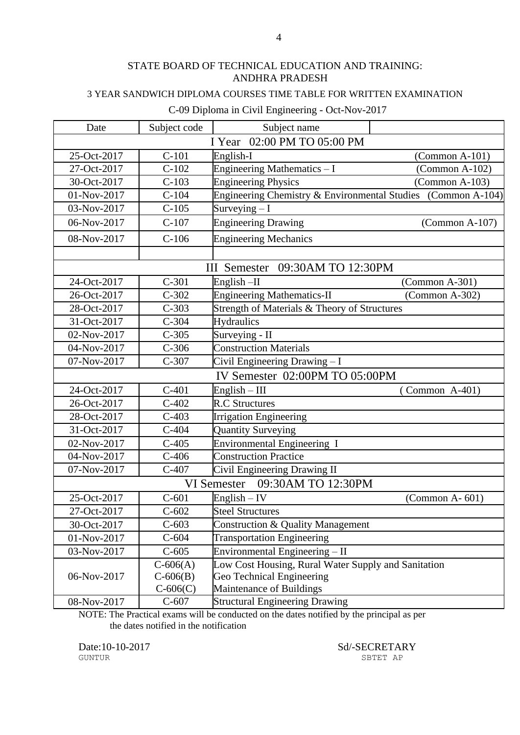### 3 YEAR SANDWICH DIPLOMA COURSES TIME TABLE FOR WRITTEN EXAMINATION

#### C-09 Diploma in Civil Engineering - Oct-Nov-2017

| Date                           | Subject code | Subject name                                                 |                  |
|--------------------------------|--------------|--------------------------------------------------------------|------------------|
| I Year 02:00 PM TO 05:00 PM    |              |                                                              |                  |
| 25-Oct-2017                    | $C-101$      | English-I                                                    | $(Common A-101)$ |
| 27-Oct-2017                    | $C-102$      | Engineering Mathematics - I                                  | $(Common A-102)$ |
| 30-Oct-2017                    | $C-103$      | <b>Engineering Physics</b>                                   | $(Common A-103)$ |
| 01-Nov-2017                    | $C-104$      | Engineering Chemistry & Environmental Studies (Common A-104) |                  |
| 03-Nov-2017                    | $C-105$      | Surveying $-I$                                               |                  |
| 06-Nov-2017                    | $C-107$      | <b>Engineering Drawing</b>                                   | $(Common A-107)$ |
| 08-Nov-2017                    | $C-106$      | <b>Engineering Mechanics</b>                                 |                  |
|                                |              |                                                              |                  |
|                                |              | III Semester 09:30AM TO 12:30PM                              |                  |
| 24-Oct-2017                    | $C-301$      | English $-II$                                                | $(Common A-301)$ |
| 26-Oct-2017                    | $C-302$      | <b>Engineering Mathematics-II</b>                            | $(Common A-302)$ |
| 28-Oct-2017                    | $C-303$      | Strength of Materials & Theory of Structures                 |                  |
| 31-Oct-2017                    | $C-304$      | <b>Hydraulics</b>                                            |                  |
| 02-Nov-2017                    | $C-305$      | Surveying - II                                               |                  |
| 04-Nov-2017                    | $C-306$      | <b>Construction Materials</b>                                |                  |
| 07-Nov-2017                    | $C-307$      | Civil Engineering Drawing - I                                |                  |
| IV Semester 02:00PM TO 05:00PM |              |                                                              |                  |
| 24-Oct-2017                    | $C-401$      | $English - III$                                              | Common A-401)    |
| 26-Oct-2017                    | $C-402$      | <b>R.C Structures</b>                                        |                  |
| 28-Oct-2017                    | $C-403$      | <b>Irrigation Engineering</b>                                |                  |
| 31-Oct-2017                    | $C-404$      | <b>Quantity Surveying</b>                                    |                  |
| 02-Nov-2017                    | $C-405$      | <b>Environmental Engineering I</b>                           |                  |
| 04-Nov-2017                    | $C-406$      | <b>Construction Practice</b>                                 |                  |
| 07-Nov-2017                    | $C-407$      | Civil Engineering Drawing II                                 |                  |
|                                |              | 09:30AM TO 12:30PM<br>VI Semester                            |                  |
| 25-Oct-2017                    | $C-601$      | $English - IV$                                               | $(Common A-601)$ |
| 27-Oct-2017                    | $C-602$      | <b>Steel Structures</b>                                      |                  |
| 30-Oct-2017                    | $C-603$      | Construction & Quality Management                            |                  |
| 01-Nov-2017                    | $C-604$      | <b>Transportation Engineering</b>                            |                  |
| 03-Nov-2017                    | $C-605$      | Environmental Engineering - II                               |                  |
|                                | $C-606(A)$   | Low Cost Housing, Rural Water Supply and Sanitation          |                  |
| 06-Nov-2017                    | $C-606(B)$   | Geo Technical Engineering                                    |                  |
|                                | $C-606(C)$   | Maintenance of Buildings                                     |                  |
| 08-Nov-2017                    | $C-607$      | <b>Structural Engineering Drawing</b>                        |                  |

NOTE: The Practical exams will be conducted on the dates notified by the principal as per the dates notified in the notification

Date:10-10-2017 Sd/-SECRETARY SUNTUR SHET AP

SBTET AP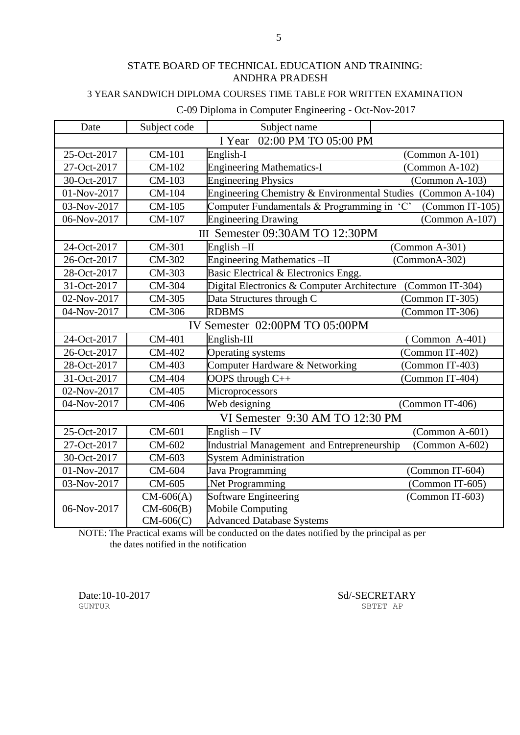### 3 YEAR SANDWICH DIPLOMA COURSES TIME TABLE FOR WRITTEN EXAMINATION

### C-09 Diploma in Computer Engineering - Oct-Nov-2017

| Date                           | Subject code                   | Subject name                                                 |                   |  |
|--------------------------------|--------------------------------|--------------------------------------------------------------|-------------------|--|
| 02:00 PM TO 05:00 PM<br>I Year |                                |                                                              |                   |  |
| 25-Oct-2017                    | <b>CM-101</b>                  | English-I                                                    | $(Common A-101)$  |  |
| 27-Oct-2017                    | CM-102                         | <b>Engineering Mathematics-I</b>                             | (Common $A-102$ ) |  |
| 30-Oct-2017                    | CM-103                         | <b>Engineering Physics</b>                                   | $(Common A-103)$  |  |
| 01-Nov-2017                    | CM-104                         | Engineering Chemistry & Environmental Studies (Common A-104) |                   |  |
| 03-Nov-2017                    | CM-105                         | Computer Fundamentals & Programming in 'C'                   | (Common IT-105)   |  |
| 06-Nov-2017                    | CM-107                         | <b>Engineering Drawing</b>                                   | $(Common A-107)$  |  |
|                                |                                | III Semester 09:30AM TO 12:30PM                              |                   |  |
| 24-Oct-2017                    | CM-301                         | $English$ -II                                                | $(Common A-301)$  |  |
| 26-Oct-2017                    | CM-302                         | <b>Engineering Mathematics -II</b>                           | $(CommonA-302)$   |  |
| 28-Oct-2017                    | CM-303                         | Basic Electrical & Electronics Engg.                         |                   |  |
| 31-Oct-2017                    | CM-304                         | Digital Electronics & Computer Architecture                  | (Common IT-304)   |  |
| 02-Nov-2017                    | CM-305                         | Data Structures through C                                    | (Common IT-305)   |  |
| 04-Nov-2017                    | CM-306                         | <b>RDBMS</b>                                                 | (Common IT-306)   |  |
|                                | IV Semester 02:00PM TO 05:00PM |                                                              |                   |  |
| 24-Oct-2017                    | CM-401                         | English-III                                                  | $(Common A-401)$  |  |
| 26-Oct-2017                    | CM-402                         | Operating systems                                            | (Common IT-402)   |  |
| 28-Oct-2017                    | CM-403                         | Computer Hardware & Networking                               | (Common IT-403)   |  |
| 31-Oct-2017                    | CM-404                         | OOPS through C++                                             | (Common IT-404)   |  |
| 02-Nov-2017                    | CM-405                         | Microprocessors                                              |                   |  |
| 04-Nov-2017                    | CM-406                         | Web designing                                                | (Common IT-406)   |  |
|                                |                                | VI Semester 9:30 AM TO 12:30 PM                              |                   |  |
| 25-Oct-2017                    | CM-601                         | $English - IV$                                               | $(Common A-601)$  |  |
| 27-Oct-2017                    | CM-602                         | Industrial Management and Entrepreneurship                   | $(Common A-602)$  |  |
| 30-Oct-2017                    | CM-603                         | <b>System Administration</b>                                 |                   |  |
| 01-Nov-2017                    | CM-604                         | Java Programming                                             | (Common IT-604)   |  |
| 03-Nov-2017                    | CM-605                         | Net Programming                                              | (Common IT-605)   |  |
|                                | $CM-606(A)$                    | <b>Software Engineering</b>                                  | (Common IT-603)   |  |
| 06-Nov-2017                    | $CM-606(B)$                    | <b>Mobile Computing</b>                                      |                   |  |
|                                | $CM-606(C)$                    | <b>Advanced Database Systems</b>                             |                   |  |

NOTE: The Practical exams will be conducted on the dates notified by the principal as per the dates notified in the notification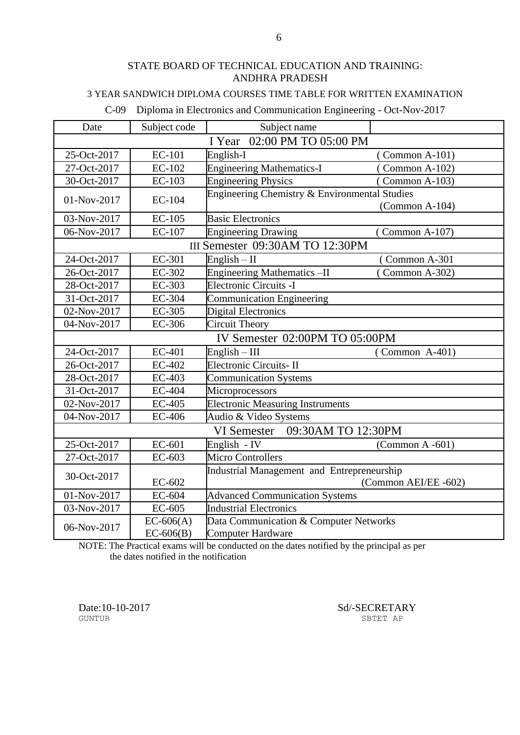### 3 YEAR SANDWICH DIPLOMA COURSES TIME TABLE FOR WRITTEN EXAMINATION

C-09 Diploma in Electronics and Communication Engineering - Oct-Nov-2017

| Date                           | Subject code  | Subject name                                  |                      |
|--------------------------------|---------------|-----------------------------------------------|----------------------|
| 02:00 PM TO 05:00 PM<br>I Year |               |                                               |                      |
| 25-Oct-2017                    | <b>EC-101</b> | English-I                                     | Common A-101)        |
| 27-Oct-2017                    | EC-102        | <b>Engineering Mathematics-I</b>              | $(Common A-102)$     |
| 30-Oct-2017                    | EC-103        | <b>Engineering Physics</b>                    | (Common A-103)       |
| 01-Nov-2017                    | EC-104        | Engineering Chemistry & Environmental Studies |                      |
|                                |               |                                               | $(Common A-104)$     |
| 03-Nov-2017                    | EC-105        | <b>Basic Electronics</b>                      |                      |
| 06-Nov-2017                    | EC-107        | <b>Engineering Drawing</b>                    | (Common A-107)       |
|                                |               | III Semester 09:30AM TO 12:30PM               |                      |
| 24-Oct-2017                    | EC-301        | $English - II$                                | (Common A-301        |
| 26-Oct-2017                    | EC-302        | <b>Engineering Mathematics -II</b>            | Common A-302)        |
| 28-Oct-2017                    | EC-303        | Electronic Circuits -I                        |                      |
| 31-Oct-2017                    | EC-304        | <b>Communication Engineering</b>              |                      |
| 02-Nov-2017                    | <b>EC-305</b> | Digital Electronics                           |                      |
| 04-Nov-2017                    | <b>EC-306</b> | <b>Circuit Theory</b>                         |                      |
| IV Semester 02:00PM TO 05:00PM |               |                                               |                      |
| 24-Oct-2017                    | EC-401        | $English - III$                               | $(Common A-401)$     |
| 26-Oct-2017                    | EC-402        | Electronic Circuits-II                        |                      |
| 28-Oct-2017                    | EC-403        | Communication Systems                         |                      |
| 31-Oct-2017                    | EC-404        | Microprocessors                               |                      |
| 02-Nov-2017                    | <b>EC-405</b> | <b>Electronic Measuring Instruments</b>       |                      |
| 04-Nov-2017                    | <b>EC-406</b> | Audio & Video Systems                         |                      |
|                                |               | 09:30AM TO 12:30PM<br><b>VI</b> Semester      |                      |
| 25-Oct-2017                    | EC-601        | English - IV                                  | $(Common A - 601)$   |
| 27-Oct-2017                    | EC-603        | <b>Micro Controllers</b>                      |                      |
| 30-Oct-2017                    |               | Industrial Management and Entrepreneurship    |                      |
|                                | EC-602        |                                               | (Common AEI/EE -602) |
| 01-Nov-2017                    | EC-604        | <b>Advanced Communication Systems</b>         |                      |
| 03-Nov-2017                    | EC-605        | <b>Industrial Electronics</b>                 |                      |
| 06-Nov-2017                    | $EC-606(A)$   | Data Communication & Computer Networks        |                      |
|                                | $EC-606(B)$   | <b>Computer Hardware</b>                      |                      |

NOTE: The Practical exams will be conducted on the dates notified by the principal as per the dates notified in the notification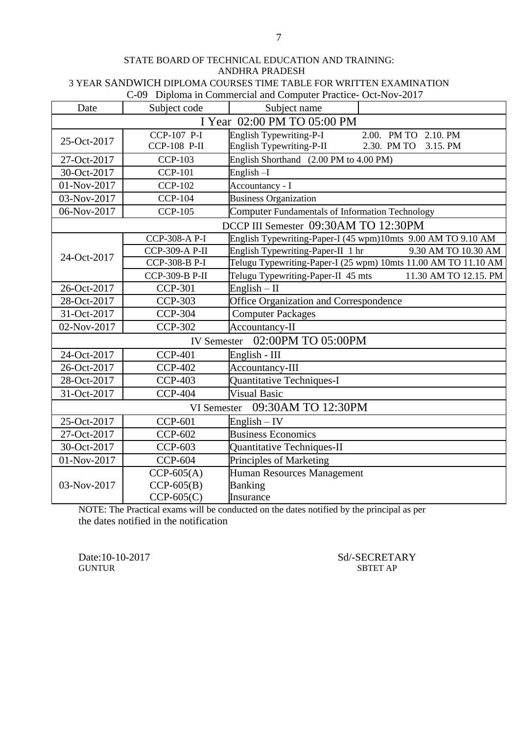C-09 Diploma in Commercial and Computer Practice- Oct-Nov-2017

| Date                        | Subject code                           | Subject name                                                                                               |  |
|-----------------------------|----------------------------------------|------------------------------------------------------------------------------------------------------------|--|
| I Year 02:00 PM TO 05:00 PM |                                        |                                                                                                            |  |
| 25-Oct-2017                 | $CCP-107$ $P-I$<br><b>CCP-108 P-II</b> | <b>English Typewriting-P-I</b><br>2.00. PM TO 2.10. PM<br>English Typewriting-P-II<br>2.30. PM TO 3.15. PM |  |
| 27-Oct-2017                 | <b>CCP-103</b>                         | English Shorthand (2.00 PM to 4.00 PM)                                                                     |  |
| 30-Oct-2017                 | <b>CCP-101</b>                         | English-I                                                                                                  |  |
| 01-Nov-2017                 | <b>CCP-102</b>                         | Accountancy - I                                                                                            |  |
| 03-Nov-2017                 | <b>CCP-104</b>                         | <b>Business Organization</b>                                                                               |  |
| 06-Nov-2017                 | <b>CCP-105</b>                         | Computer Fundamentals of Information Technology                                                            |  |
|                             |                                        | DCCP III Semester 09:30AM TO 12:30PM                                                                       |  |
|                             | CCP-308-A P-I                          | English Typewriting-Paper-I (45 wpm)10mts 9.00 AM TO 9.10 AM                                               |  |
| 24-Oct-2017                 | CCP-309-A P-II                         | English Typewriting-Paper-II 1 hr<br>9.30 AM TO 10.30 AM                                                   |  |
|                             | CCP-308-B P-I                          | Telugu Typewriting-Paper-I (25 wpm) 10mts 11.00 AM TO 11.10 AM                                             |  |
|                             | CCP-309-B P-II                         | Telugu Typewriting-Paper-II 45 mts<br>11.30 AM TO 12.15. PM                                                |  |
| 26-Oct-2017                 | <b>CCP-301</b>                         | $English - II$                                                                                             |  |
| 28-Oct-2017                 | <b>CCP-303</b>                         | Office Organization and Correspondence                                                                     |  |
| 31-Oct-2017                 | <b>CCP-304</b>                         | <b>Computer Packages</b>                                                                                   |  |
| 02-Nov-2017                 | <b>CCP-302</b>                         | Accountancy-II                                                                                             |  |
|                             |                                        | IV Semester 02:00PM TO 05:00PM                                                                             |  |
| 24-Oct-2017                 | <b>CCP-401</b>                         | English - III                                                                                              |  |
| 26-Oct-2017                 | <b>CCP-402</b>                         | Accountancy-III                                                                                            |  |
| 28-Oct-2017                 | <b>CCP-403</b>                         | Quantitative Techniques-I                                                                                  |  |
| 31-Oct-2017                 | <b>CCP-404</b>                         | <b>Visual Basic</b>                                                                                        |  |
|                             | VI Semester                            | 09:30AM TO 12:30PM                                                                                         |  |
| 25-Oct-2017                 | <b>CCP-601</b>                         | English $-$ IV                                                                                             |  |
| 27-Oct-2017                 | <b>CCP-602</b>                         | <b>Business Economics</b>                                                                                  |  |
| 30-Oct-2017                 | <b>CCP-603</b>                         | Quantitative Techniques-II                                                                                 |  |
| 01-Nov-2017                 | <b>CCP-604</b>                         | Principles of Marketing                                                                                    |  |
|                             | $CCP-605(A)$                           | <b>Human Resources Management</b>                                                                          |  |
| 03-Nov-2017                 | $CCP-605(B)$                           | <b>Banking</b>                                                                                             |  |
|                             | $CCP-605(C)$                           | Insurance                                                                                                  |  |

NOTE: The Practical exams will be conducted on the dates notified by the principal as per the dates notified in the notification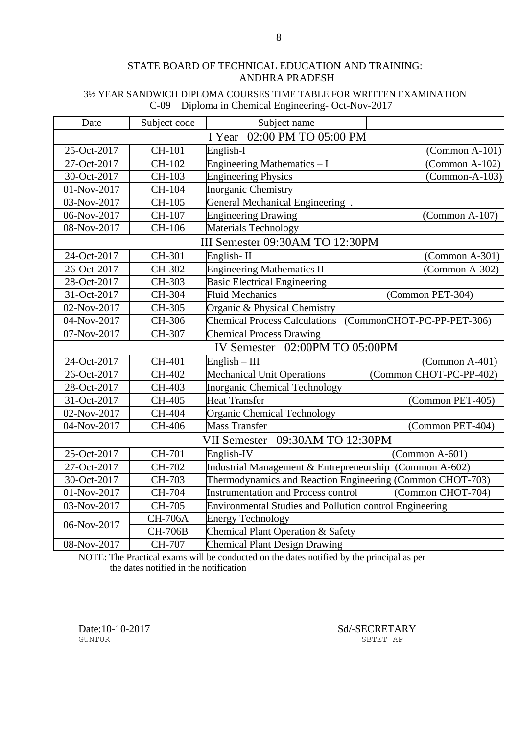#### 3½ YEAR SANDWICH DIPLOMA COURSES TIME TABLE FOR WRITTEN EXAMINATION C-09 Diploma in Chemical Engineering- Oct-Nov-2017

| Date                           | Subject code   | Subject name                                              |                            |
|--------------------------------|----------------|-----------------------------------------------------------|----------------------------|
| 02:00 PM TO 05:00 PM<br>I Year |                |                                                           |                            |
| 25-Oct-2017                    | CH-101         | English-I                                                 | $(Common A-101)$           |
| 27-Oct-2017                    | CH-102         | Engineering Mathematics - I                               | $(Common A-102)$           |
| 30-Oct-2017                    | CH-103         | <b>Engineering Physics</b>                                | $(Common-A-103)$           |
| 01-Nov-2017                    | CH-104         | Inorganic Chemistry                                       |                            |
| 03-Nov-2017                    | CH-105         | General Mechanical Engineering.                           |                            |
| 06-Nov-2017                    | CH-107         | <b>Engineering Drawing</b>                                | $(Common A-107)$           |
| 08-Nov-2017                    | CH-106         | Materials Technology                                      |                            |
|                                |                | III Semester 09:30AM TO 12:30PM                           |                            |
| 24-Oct-2017                    | CH-301         | English-II                                                | $(Common A-301)$           |
| 26-Oct-2017                    | CH-302         | <b>Engineering Mathematics II</b>                         | $(Common A-302)$           |
| 28-Oct-2017                    | CH-303         | <b>Basic Electrical Engineering</b>                       |                            |
| 31-Oct-2017                    | CH-304         | <b>Fluid Mechanics</b>                                    | (Common PET-304)           |
| 02-Nov-2017                    | CH-305         | Organic & Physical Chemistry                              |                            |
| 04-Nov-2017                    | CH-306         | <b>Chemical Process Calculations</b>                      | (CommonCHOT-PC-PP-PET-306) |
| 07-Nov-2017                    | CH-307         | <b>Chemical Process Drawing</b>                           |                            |
| IV Semester 02:00PM TO 05:00PM |                |                                                           |                            |
| 24-Oct-2017                    | CH-401         | $English - III$                                           | $(Common A-401)$           |
| 26-Oct-2017                    | CH-402         | <b>Mechanical Unit Operations</b>                         | (Common CHOT-PC-PP-402)    |
| 28-Oct-2017                    | CH-403         | <b>Inorganic Chemical Technology</b>                      |                            |
| 31-Oct-2017                    | CH-405         | <b>Heat Transfer</b>                                      | (Common PET-405)           |
| 02-Nov-2017                    | CH-404         | <b>Organic Chemical Technology</b>                        |                            |
| 04-Nov-2017                    | CH-406         | <b>Mass Transfer</b>                                      | (Common PET-404)           |
|                                |                | 09:30AM TO 12:30PM<br><b>VII Semester</b>                 |                            |
| 25-Oct-2017                    | CH-701         | English-IV                                                | $(Common A-601)$           |
| 27-Oct-2017                    | CH-702         | Industrial Management & Entrepreneurship (Common A-602)   |                            |
| 30-Oct-2017                    | CH-703         | Thermodynamics and Reaction Engineering (Common CHOT-703) |                            |
| 01-Nov-2017                    | CH-704         | <b>Instrumentation and Process control</b>                | (Common CHOT-704)          |
| 03-Nov-2017                    | CH-705         | Environmental Studies and Pollution control Engineering   |                            |
|                                | <b>CH-706A</b> | <b>Energy Technology</b>                                  |                            |
| 06-Nov-2017                    | <b>CH-706B</b> | Chemical Plant Operation & Safety                         |                            |
| 08-Nov-2017                    | CH-707         | <b>Chemical Plant Design Drawing</b>                      |                            |

NOTE: The Practical exams will be conducted on the dates notified by the principal as per the dates notified in the notification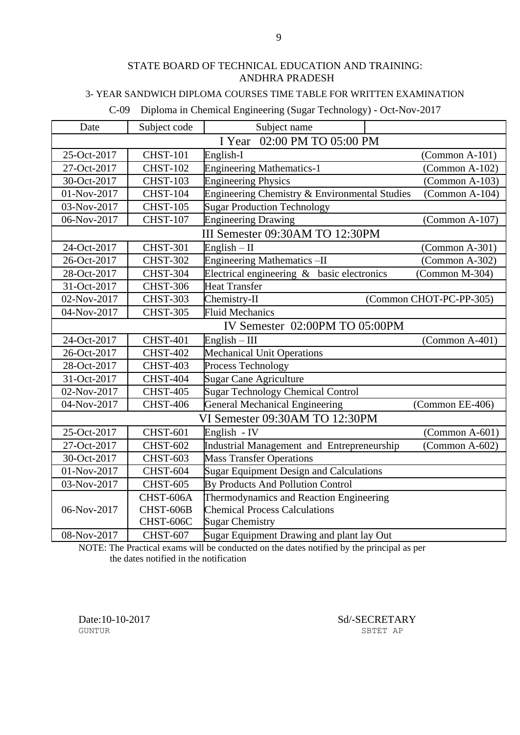### 3- YEAR SANDWICH DIPLOMA COURSES TIME TABLE FOR WRITTEN EXAMINATION

C-09 Diploma in Chemical Engineering (Sugar Technology) - Oct-Nov-2017

| Date                           | Subject code    | Subject name                                  |                         |
|--------------------------------|-----------------|-----------------------------------------------|-------------------------|
|                                |                 | 02:00 PM TO 05:00 PM<br>I Year                |                         |
| 25-Oct-2017                    | <b>CHST-101</b> | English-I                                     | $(Common A-101)$        |
| 27-Oct-2017                    | <b>CHST-102</b> | <b>Engineering Mathematics-1</b>              | $(Common A-102)$        |
| 30-Oct-2017                    | <b>CHST-103</b> | <b>Engineering Physics</b>                    | $(Common A-103)$        |
| 01-Nov-2017                    | <b>CHST-104</b> | Engineering Chemistry & Environmental Studies | $(Common A-104)$        |
| 03-Nov-2017                    | <b>CHST-105</b> | <b>Sugar Production Technology</b>            |                         |
| 06-Nov-2017                    | <b>CHST-107</b> | <b>Engineering Drawing</b>                    | $(Common A-107)$        |
|                                |                 | III Semester 09:30AM TO 12:30PM               |                         |
| 24-Oct-2017                    | <b>CHST-301</b> | English $-$ II                                | $(Common A-301)$        |
| 26-Oct-2017                    | <b>CHST-302</b> | <b>Engineering Mathematics -II</b>            | $(Common A-302)$        |
| 28-Oct-2017                    | CHST-304        | Electrical engineering $\&$ basic electronics | (Common M-304)          |
| 31-Oct-2017                    | <b>CHST-306</b> | <b>Heat Transfer</b>                          |                         |
| 02-Nov-2017                    | <b>CHST-303</b> | Chemistry-II                                  | (Common CHOT-PC-PP-305) |
| 04-Nov-2017                    | <b>CHST-305</b> | <b>Fluid Mechanics</b>                        |                         |
| IV Semester 02:00PM TO 05:00PM |                 |                                               |                         |
| 24-Oct-2017                    | <b>CHST-401</b> | $English - III$                               | $(Common A-401)$        |
| 26-Oct-2017                    | <b>CHST-402</b> | <b>Mechanical Unit Operations</b>             |                         |
| 28-Oct-2017                    | <b>CHST-403</b> | Process Technology                            |                         |
| 31-Oct-2017                    | <b>CHST-404</b> | <b>Sugar Cane Agriculture</b>                 |                         |
| 02-Nov-2017                    | <b>CHST-405</b> | <b>Sugar Technology Chemical Control</b>      |                         |
| 04-Nov-2017                    | <b>CHST-406</b> | <b>General Mechanical Engineering</b>         | (Common EE-406)         |
|                                |                 | VI Semester 09:30AM TO 12:30PM                |                         |
| 25-Oct-2017                    | <b>CHST-601</b> | English - IV                                  | $(Common A-601)$        |
| 27-Oct-2017                    | <b>CHST-602</b> | Industrial Management and Entrepreneurship    | $(Common A-602)$        |
| 30-Oct-2017                    | <b>CHST-603</b> | <b>Mass Transfer Operations</b>               |                         |
| 01-Nov-2017                    | CHST-604        | Sugar Equipment Design and Calculations       |                         |
| 03-Nov-2017                    | <b>CHST-605</b> | By Products And Pollution Control             |                         |
|                                | CHST-606A       | Thermodynamics and Reaction Engineering       |                         |
| 06-Nov-2017                    | CHST-606B       | <b>Chemical Process Calculations</b>          |                         |
|                                | CHST-606C       | <b>Sugar Chemistry</b>                        |                         |
| 08-Nov-2017                    | <b>CHST-607</b> | Sugar Equipment Drawing and plant lay Out     |                         |

NOTE: The Practical exams will be conducted on the dates notified by the principal as per the dates notified in the notification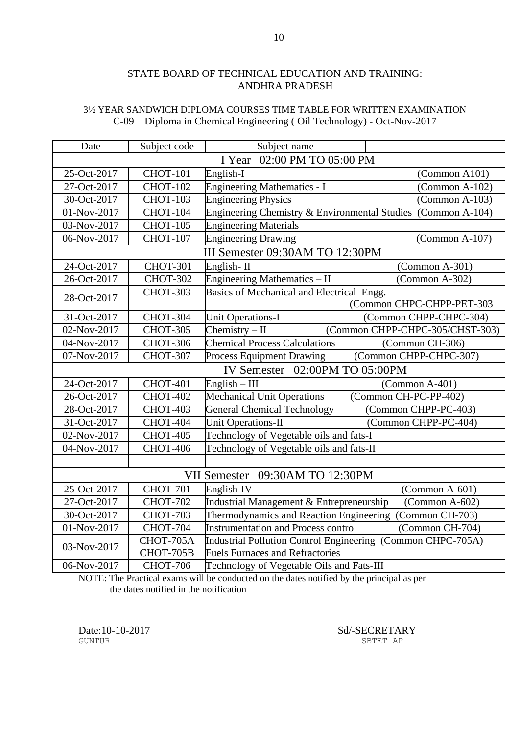#### 3½ YEAR SANDWICH DIPLOMA COURSES TIME TABLE FOR WRITTEN EXAMINATION C-09 Diploma in Chemical Engineering ( Oil Technology) - Oct-Nov-2017

| Date                           | Subject code                   | Subject name                                                        |  |
|--------------------------------|--------------------------------|---------------------------------------------------------------------|--|
|                                | 02:00 PM TO 05:00 PM<br>I Year |                                                                     |  |
| 25-Oct-2017                    | <b>CHOT-101</b>                | English-I<br>(Common A101)                                          |  |
| 27-Oct-2017                    | <b>CHOT-102</b>                | <b>Engineering Mathematics - I</b><br>$(Common A-102)$              |  |
| 30-Oct-2017                    | <b>CHOT-103</b>                | <b>Engineering Physics</b><br>$(Common A-103)$                      |  |
| 01-Nov-2017                    | <b>CHOT-104</b>                | Engineering Chemistry & Environmental Studies (Common A-104)        |  |
| 03-Nov-2017                    | <b>CHOT-105</b>                | <b>Engineering Materials</b>                                        |  |
| 06-Nov-2017                    | <b>CHOT-107</b>                | <b>Engineering Drawing</b><br>$(Common A-107)$                      |  |
|                                |                                | III Semester 09:30AM TO 12:30PM                                     |  |
| 24-Oct-2017                    | <b>CHOT-301</b>                | English-II<br>$(Common A-301)$                                      |  |
| 26-Oct-2017                    | <b>CHOT-302</b>                | Engineering Mathematics - II<br>(Common A-302)                      |  |
| 28-Oct-2017                    | <b>CHOT-303</b>                | Basics of Mechanical and Electrical Engg.                           |  |
|                                |                                | (Common CHPC-CHPP-PET-303                                           |  |
| 31-Oct-2017                    | <b>CHOT-304</b>                | <b>Unit Operations-I</b><br>(Common CHPP-CHPC-304)                  |  |
| 02-Nov-2017                    | <b>CHOT-305</b>                | Chemistry $-$ II<br>(Common CHPP-CHPC-305/CHST-303)                 |  |
| 04-Nov-2017                    | <b>CHOT-306</b>                | <b>Chemical Process Calculations</b><br>(Common CH-306)             |  |
| 07-Nov-2017                    | <b>CHOT-307</b>                | (Common CHPP-CHPC-307)<br><b>Process Equipment Drawing</b>          |  |
| IV Semester 02:00PM TO 05:00PM |                                |                                                                     |  |
| 24-Oct-2017                    | <b>CHOT-401</b>                | $English - III$<br>$(Common A-401)$                                 |  |
| 26-Oct-2017                    | <b>CHOT-402</b>                | <b>Mechanical Unit Operations</b><br>(Common CH-PC-PP-402)          |  |
| 28-Oct-2017                    | <b>CHOT-403</b>                | <b>General Chemical Technology</b><br>(Common CHPP-PC-403)          |  |
| 31-Oct-2017                    | CHOT-404                       | <b>Unit Operations-II</b><br>(Common CHPP-PC-404)                   |  |
| 02-Nov-2017                    | <b>CHOT-405</b>                | Technology of Vegetable oils and fats-I                             |  |
| 04-Nov-2017                    | <b>CHOT-406</b>                | Technology of Vegetable oils and fats-II                            |  |
|                                |                                |                                                                     |  |
|                                |                                | VII Semester 09:30AM TO 12:30PM                                     |  |
| 25-Oct-2017                    | <b>CHOT-701</b>                | English-IV<br>$(Common A-601)$                                      |  |
| 27-Oct-2017                    | <b>CHOT-702</b>                | Industrial Management & Entrepreneurship<br>$\Gamma$ (Common A-602) |  |
| 30-Oct-2017                    | <b>CHOT-703</b>                | Thermodynamics and Reaction Engineering (Common CH-703)             |  |
| 01-Nov-2017                    | <b>CHOT-704</b>                | (Common CH-704)<br><b>Instrumentation and Process control</b>       |  |
| 03-Nov-2017                    | CHOT-705A                      | Industrial Pollution Control Engineering (Common CHPC-705A)         |  |
|                                | CHOT-705B                      | <b>Fuels Furnaces and Refractories</b>                              |  |
| 06-Nov-2017                    | <b>CHOT-706</b>                | Technology of Vegetable Oils and Fats-III                           |  |

NOTE: The Practical exams will be conducted on the dates notified by the principal as per the dates notified in the notification

Date:10-10-2017 Sd/-SECRETARY SECRETARY SETTLE SBTET AP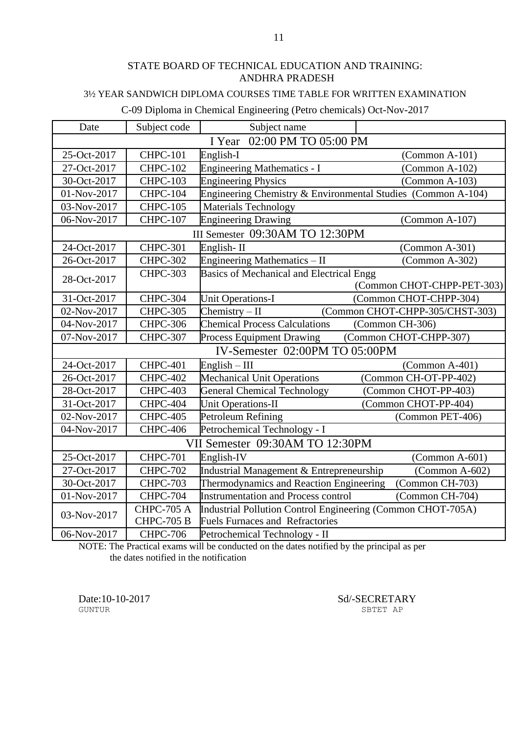### 3½ YEAR SANDWICH DIPLOMA COURSES TIME TABLE FOR WRITTEN EXAMINATION

#### C-09 Diploma in Chemical Engineering (Petro chemicals) Oct-Nov-2017

| Date                           | Subject code      | Subject name                                                 |                                 |
|--------------------------------|-------------------|--------------------------------------------------------------|---------------------------------|
| 02:00 PM TO 05:00 PM<br>I Year |                   |                                                              |                                 |
| 25-Oct-2017                    | <b>CHPC-101</b>   | English-I                                                    | $(Common A-101)$                |
| 27-Oct-2017                    | <b>CHPC-102</b>   | Engineering Mathematics - I                                  | $(Common A-102)$                |
| 30-Oct-2017                    | <b>CHPC-103</b>   | <b>Engineering Physics</b>                                   | $(Common A-103)$                |
| 01-Nov-2017                    | <b>CHPC-104</b>   | Engineering Chemistry & Environmental Studies (Common A-104) |                                 |
| 03-Nov-2017                    | <b>CHPC-105</b>   | <b>Materials Technology</b>                                  |                                 |
| 06-Nov-2017                    | <b>CHPC-107</b>   | <b>Engineering Drawing</b>                                   | $(Common A-107)$                |
|                                |                   | III Semester 09:30AM TO 12:30PM                              |                                 |
| 24-Oct-2017                    | $CHPC-301$        | English-II                                                   | $(Common A-301)$                |
| 26-Oct-2017                    | <b>CHPC-302</b>   | Engineering Mathematics - II                                 | (Common A-302)                  |
| 28-Oct-2017                    | <b>CHPC-303</b>   | Basics of Mechanical and Electrical Engg                     |                                 |
|                                |                   |                                                              | (Common CHOT-CHPP-PET-303)      |
| 31-Oct-2017                    | CHPC-304          | <b>Unit Operations-I</b>                                     | (Common CHOT-CHPP-304)          |
| 02-Nov-2017                    | <b>CHPC-305</b>   | $Chemistry - II$                                             | (Common CHOT-CHPP-305/CHST-303) |
| 04-Nov-2017                    | <b>CHPC-306</b>   | <b>Chemical Process Calculations</b>                         | (Common CH-306)                 |
| 07-Nov-2017                    | <b>CHPC-307</b>   | <b>Process Equipment Drawing</b>                             | (Common CHOT-CHPP-307)          |
| IV-Semester 02:00PM TO 05:00PM |                   |                                                              |                                 |
| 24-Oct-2017                    | <b>CHPC-401</b>   | $English - III$                                              | (Common A-401)                  |
| 26-Oct-2017                    | <b>CHPC-402</b>   | Mechanical Unit Operations                                   | (Common CH-OT-PP-402)           |
| 28-Oct-2017                    | CHPC-403          | <b>General Chemical Technology</b>                           | (Common CHOT-PP-403)            |
| 31-Oct-2017                    | CHPC-404          | <b>Unit Operations-II</b>                                    | (Common CHOT-PP-404)            |
| 02-Nov-2017                    | <b>CHPC-405</b>   | Petroleum Refining                                           | (Common PET-406)                |
| 04-Nov-2017                    | CHPC-406          | Petrochemical Technology - I                                 |                                 |
|                                |                   | VII Semester 09:30AM TO 12:30PM                              |                                 |
| 25-Oct-2017                    | <b>CHPC-701</b>   | English-IV                                                   | $(Common A-601)$                |
| 27-Oct-2017                    | <b>CHPC-702</b>   | Industrial Management & Entrepreneurship                     | $(Common A-602)$                |
| 30-Oct-2017                    | <b>CHPC-703</b>   | Thermodynamics and Reaction Engineering                      | (Common CH-703)                 |
| 01-Nov-2017                    | <b>CHPC-704</b>   | <b>Instrumentation and Process control</b>                   | (Common CH-704)                 |
| 03-Nov-2017                    | <b>CHPC-705 A</b> | Industrial Pollution Control Engineering (Common CHOT-705A)  |                                 |
|                                | <b>CHPC-705 B</b> | <b>Fuels Furnaces and Refractories</b>                       |                                 |
| 06-Nov-2017                    | <b>CHPC-706</b>   | Petrochemical Technology - II                                |                                 |

NOTE: The Practical exams will be conducted on the dates notified by the principal as per the dates notified in the notification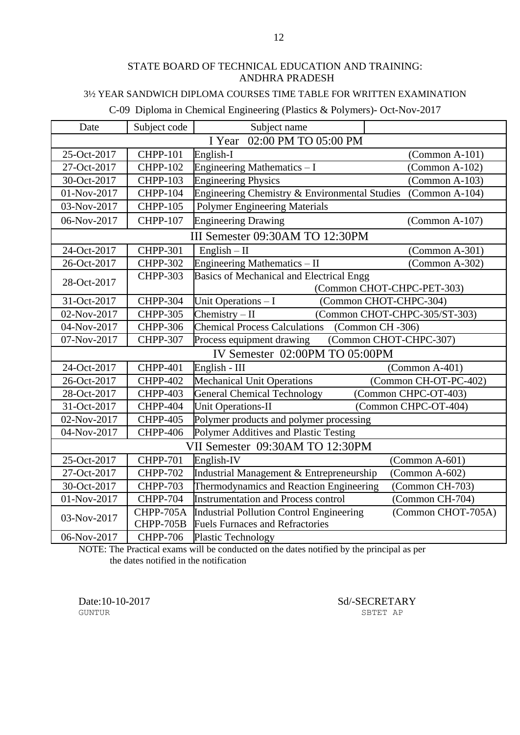### 3½ YEAR SANDWICH DIPLOMA COURSES TIME TABLE FOR WRITTEN EXAMINATION

#### C-09 Diploma in Chemical Engineering (Plastics & Polymers)- Oct-Nov-2017

| Date        | Subject code                   | Subject name                                        |                               |  |
|-------------|--------------------------------|-----------------------------------------------------|-------------------------------|--|
|             |                                | I Year<br>02:00 PM TO 05:00 PM                      |                               |  |
| 25-Oct-2017 | <b>CHPP-101</b>                | English-I                                           | $(Common A-101)$              |  |
| 27-Oct-2017 | <b>CHPP-102</b>                | Engineering Mathematics - I                         | $(Common A-102)$              |  |
| 30-Oct-2017 | <b>CHPP-103</b>                | <b>Engineering Physics</b>                          | $(Common A-103)$              |  |
| 01-Nov-2017 | <b>CHPP-104</b>                | Engineering Chemistry & Environmental Studies       | $(Common A-104)$              |  |
| 03-Nov-2017 | <b>CHPP-105</b>                | <b>Polymer Engineering Materials</b>                |                               |  |
| 06-Nov-2017 | <b>CHPP-107</b>                | <b>Engineering Drawing</b>                          | $(Common A-107)$              |  |
|             |                                | III Semester 09:30AM TO 12:30PM                     |                               |  |
| 24-Oct-2017 | <b>CHPP-301</b>                | $English - II$                                      | (Common A-301)                |  |
| 26-Oct-2017 | <b>CHPP-302</b>                | Engineering Mathematics - II                        | (Common A-302)                |  |
| 28-Oct-2017 | <b>CHPP-303</b>                | <b>Basics of Mechanical and Electrical Engg</b>     |                               |  |
|             |                                |                                                     | (Common CHOT-CHPC-PET-303)    |  |
| 31-Oct-2017 | <b>CHPP-304</b>                | Unit Operations - I                                 | (Common CHOT-CHPC-304)        |  |
| 02-Nov-2017 | <b>CHPP-305</b>                | Chemistry $-$ II                                    | (Common CHOT-CHPC-305/ST-303) |  |
| 04-Nov-2017 | <b>CHPP-306</b>                | <b>Chemical Process Calculations</b>                | (Common CH -306)              |  |
| 07-Nov-2017 | <b>CHPP-307</b>                | (Common CHOT-CHPC-307)<br>Process equipment drawing |                               |  |
|             | IV Semester 02:00PM TO 05:00PM |                                                     |                               |  |
| 24-Oct-2017 | <b>CHPP-401</b>                | English - III                                       | (Common A-401)                |  |
| 26-Oct-2017 | <b>CHPP-402</b>                | <b>Mechanical Unit Operations</b>                   | (Common CH-OT-PC-402)         |  |
| 28-Oct-2017 | <b>CHPP-403</b>                | <b>General Chemical Technology</b>                  | (Common CHPC-OT-403)          |  |
| 31-Oct-2017 | <b>CHPP-404</b>                | <b>Unit Operations-II</b>                           | (Common CHPC-OT-404)          |  |
| 02-Nov-2017 | <b>CHPP-405</b>                | Polymer products and polymer processing             |                               |  |
| 04-Nov-2017 | <b>CHPP-406</b>                | Polymer Additives and Plastic Testing               |                               |  |
|             |                                | VII Semester 09:30AM TO 12:30PM                     |                               |  |
| 25-Oct-2017 | <b>CHPP-701</b>                | English-IV                                          | $(Common A-601)$              |  |
| 27-Oct-2017 | <b>CHPP-702</b>                | Industrial Management & Entrepreneurship            | $(Common A-602)$              |  |
| 30-Oct-2017 | <b>CHPP-703</b>                | Thermodynamics and Reaction Engineering             | (Common CH-703)               |  |
| 01-Nov-2017 | <b>CHPP-704</b>                | <b>Instrumentation and Process control</b>          | (Common CH-704)               |  |
|             | CHPP-705A                      | Industrial Pollution Control Engineering            | (Common CHOT-705A)            |  |
| 03-Nov-2017 | CHPP-705B                      | <b>Fuels Furnaces and Refractories</b>              |                               |  |
| 06-Nov-2017 | <b>CHPP-706</b>                | <b>Plastic Technology</b>                           |                               |  |

NOTE: The Practical exams will be conducted on the dates notified by the principal as per the dates notified in the notification

Date:10-10-2017 Sd/-SECRETARY SECRETARY SETTLE SBTET AP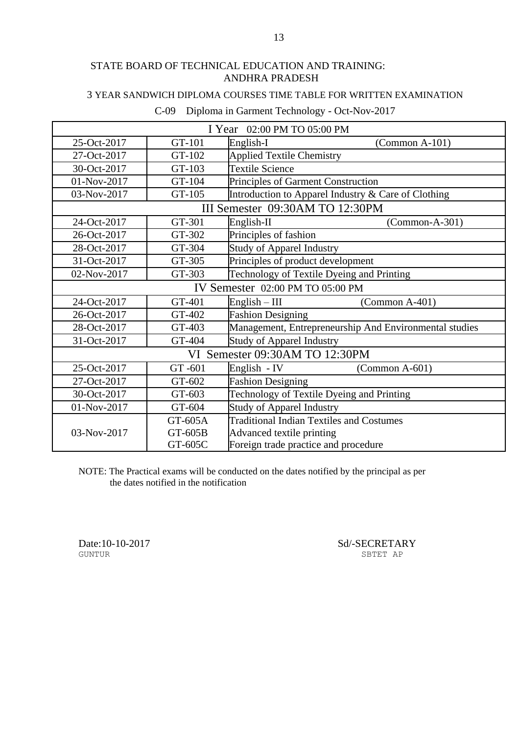### 3 YEAR SANDWICH DIPLOMA COURSES TIME TABLE FOR WRITTEN EXAMINATION

| I Year 02:00 PM TO 05:00 PM      |                                 |                                                        |  |  |  |
|----------------------------------|---------------------------------|--------------------------------------------------------|--|--|--|
| 25-Oct-2017                      | GT-101                          | English-I<br>$(Common A-101)$                          |  |  |  |
| 27-Oct-2017                      | GT-102                          | <b>Applied Textile Chemistry</b>                       |  |  |  |
| 30-Oct-2017                      | GT-103                          | <b>Textile Science</b>                                 |  |  |  |
| 01-Nov-2017                      | GT-104                          | Principles of Garment Construction                     |  |  |  |
| 03-Nov-2017                      | GT-105                          | Introduction to Apparel Industry & Care of Clothing    |  |  |  |
|                                  | III Semester 09:30AM TO 12:30PM |                                                        |  |  |  |
| 24-Oct-2017                      | GT-301                          | English-II<br>$(Common-A-301)$                         |  |  |  |
| 26-Oct-2017                      | GT-302                          | Principles of fashion                                  |  |  |  |
| 28-Oct-2017                      | GT-304                          | <b>Study of Apparel Industry</b>                       |  |  |  |
| 31-Oct-2017                      | GT-305                          | Principles of product development                      |  |  |  |
| 02-Nov-2017                      | GT-303                          | Technology of Textile Dyeing and Printing              |  |  |  |
| IV Semester 02:00 PM TO 05:00 PM |                                 |                                                        |  |  |  |
| 24-Oct-2017                      | GT-401                          | $(Common A-401)$<br>$English - III$                    |  |  |  |
| 26-Oct-2017                      | GT-402                          | <b>Fashion Designing</b>                               |  |  |  |
| 28-Oct-2017                      | GT-403                          | Management, Entrepreneurship And Environmental studies |  |  |  |
| 31-Oct-2017                      | GT-404                          | <b>Study of Apparel Industry</b>                       |  |  |  |
|                                  |                                 | VI Semester 09:30AM TO 12:30PM                         |  |  |  |
| 25-Oct-2017                      | GT-601                          | English - IV<br>$(Common A-601)$                       |  |  |  |
| 27-Oct-2017                      | GT-602                          | <b>Fashion Designing</b>                               |  |  |  |
| 30-Oct-2017                      | GT-603                          | Technology of Textile Dyeing and Printing              |  |  |  |
| 01-Nov-2017                      | GT-604                          | <b>Study of Apparel Industry</b>                       |  |  |  |
|                                  | GT-605A                         | <b>Traditional Indian Textiles and Costumes</b>        |  |  |  |
| 03-Nov-2017                      | GT-605B                         | Advanced textile printing                              |  |  |  |
|                                  | GT-605C                         | Foreign trade practice and procedure                   |  |  |  |

# C-09 Diploma in Garment Technology - Oct-Nov-2017

NOTE: The Practical exams will be conducted on the dates notified by the principal as per the dates notified in the notification

Date:10-10-2017 Sd/-SECRETARY GUNTUR SBTET AP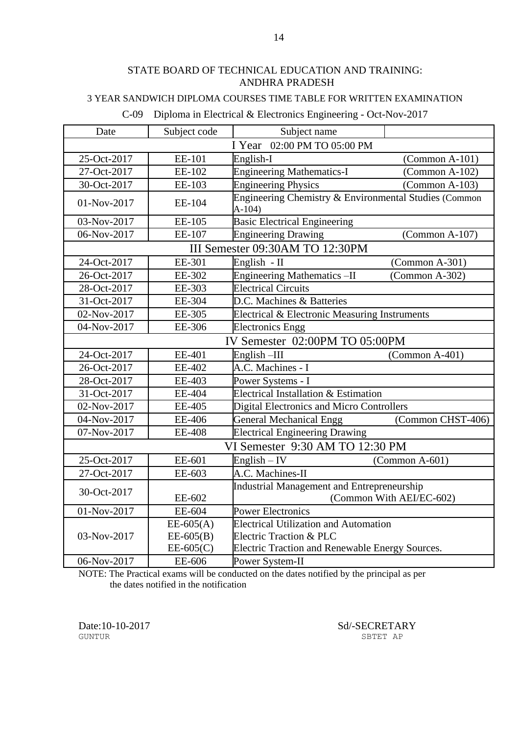#### 3 YEAR SANDWICH DIPLOMA COURSES TIME TABLE FOR WRITTEN EXAMINATION

# C-09 Diploma in Electrical & Electronics Engineering - Oct-Nov-2017

| Date                           | Subject code  | Subject name                                                      |                          |  |
|--------------------------------|---------------|-------------------------------------------------------------------|--------------------------|--|
| I Year 02:00 PM TO 05:00 PM    |               |                                                                   |                          |  |
| 25-Oct-2017                    | EE-101        | English-I                                                         | $(Common A-101)$         |  |
| 27-Oct-2017                    | EE-102        | <b>Engineering Mathematics-I</b>                                  | (Common A-102)           |  |
| 30-Oct-2017                    | EE-103        | <b>Engineering Physics</b>                                        | $(Common A-103)$         |  |
| 01-Nov-2017                    | EE-104        | Engineering Chemistry & Environmental Studies (Common<br>$A-104)$ |                          |  |
| 03-Nov-2017                    | EE-105        | <b>Basic Electrical Engineering</b>                               |                          |  |
| 06-Nov-2017                    | EE-107        | <b>Engineering Drawing</b>                                        | $(Common A-107)$         |  |
|                                |               | III Semester 09:30AM TO 12:30PM                                   |                          |  |
| 24-Oct-2017                    | EE-301        | English - II                                                      | $(Common A-301)$         |  |
| 26-Oct-2017                    | EE-302        | Engineering Mathematics-II                                        | $(Common A-302)$         |  |
| 28-Oct-2017                    | EE-303        | <b>Electrical Circuits</b>                                        |                          |  |
| 31-Oct-2017                    | EE-304        | D.C. Machines & Batteries                                         |                          |  |
| 02-Nov-2017                    | EE-305        | Electrical & Electronic Measuring Instruments                     |                          |  |
| 04-Nov-2017                    | EE-306        | <b>Electronics Engg</b>                                           |                          |  |
| IV Semester 02:00PM TO 05:00PM |               |                                                                   |                          |  |
| 24-Oct-2017                    | EE-401        | English-III                                                       | $(Common A-401)$         |  |
| 26-Oct-2017                    | EE-402        | A.C. Machines - I                                                 |                          |  |
| 28-Oct-2017                    | EE-403        | Power Systems - I                                                 |                          |  |
| 31-Oct-2017                    | EE-404        | Electrical Installation & Estimation                              |                          |  |
| 02-Nov-2017                    | EE-405        | Digital Electronics and Micro Controllers                         |                          |  |
| 04-Nov-2017                    | EE-406        | <b>General Mechanical Engg</b>                                    | (Common CHST-406)        |  |
| 07-Nov-2017                    | <b>EE-408</b> | <b>Electrical Engineering Drawing</b>                             |                          |  |
|                                |               | VI Semester 9:30 AM TO 12:30 PM                                   |                          |  |
| 25-Oct-2017                    | EE-601        | $English - IV$                                                    | $(Common A-601)$         |  |
| 27-Oct-2017                    | EE-603        | A.C. Machines-II                                                  |                          |  |
| 30-Oct-2017                    |               | Industrial Management and Entrepreneurship                        |                          |  |
|                                | EE-602        |                                                                   | (Common With AEI/EC-602) |  |
| 01-Nov-2017                    | EE-604        | <b>Power Electronics</b>                                          |                          |  |
|                                | $EE-605(A)$   | <b>Electrical Utilization and Automation</b>                      |                          |  |
| 03-Nov-2017                    | $EE-605(B)$   | <b>Electric Traction &amp; PLC</b>                                |                          |  |
|                                | $EE-605(C)$   | Electric Traction and Renewable Energy Sources.                   |                          |  |
| 06-Nov-2017                    | EE-606        | Power System-II                                                   |                          |  |

NOTE: The Practical exams will be conducted on the dates notified by the principal as per the dates notified in the notification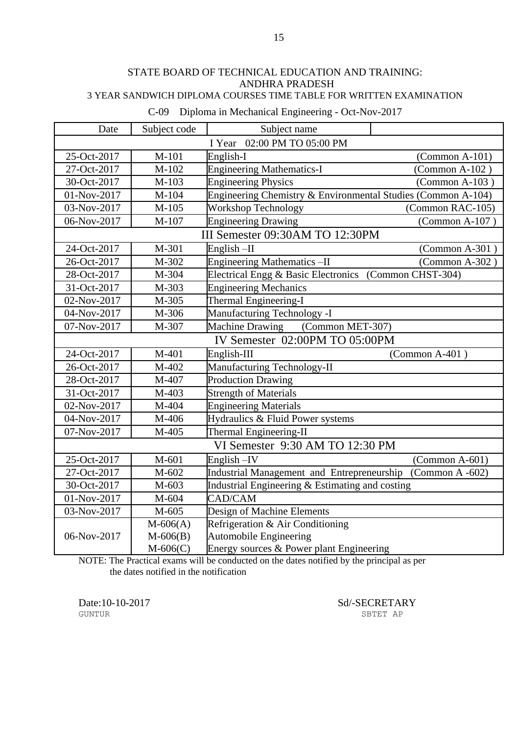#### STATE BOARD OF TECHNICAL EDUCATION AND TRAINING: ANDHRA PRADESH 3 YEAR SANDWICH DIPLOMA COURSES TIME TABLE FOR WRITTEN EXAMINATION

| Date                           | Subject code | Subject name                                                 |                  |
|--------------------------------|--------------|--------------------------------------------------------------|------------------|
|                                |              | 02:00 PM TO 05:00 PM<br>I Year                               |                  |
| 25-Oct-2017                    | $M-101$      | English-I                                                    | $(Common A-101)$ |
| 27-Oct-2017                    | M-102        | <b>Engineering Mathematics-I</b>                             | $(Common A-102)$ |
| 30-Oct-2017                    | M-103        | <b>Engineering Physics</b>                                   | (Common A-103)   |
| 01-Nov-2017                    | M-104        | Engineering Chemistry & Environmental Studies (Common A-104) |                  |
| 03-Nov-2017                    | $M-105$      | Workshop Technology                                          | (Common RAC-105) |
| 06-Nov-2017                    | M-107        | <b>Engineering Drawing</b>                                   | (Common A-107)   |
|                                |              | III Semester 09:30AM TO 12:30PM                              |                  |
| 24-Oct-2017                    | M-301        | English $-II$                                                | $(Common A-301)$ |
| 26-Oct-2017                    | M-302        | <b>Engineering Mathematics -II</b>                           | $(Common A-302)$ |
| 28-Oct-2017                    | M-304        | Electrical Engg & Basic Electronics (Common CHST-304)        |                  |
| 31-Oct-2017                    | M-303        | <b>Engineering Mechanics</b>                                 |                  |
| 02-Nov-2017                    | M-305        | Thermal Engineering-I                                        |                  |
| 04-Nov-2017                    | M-306        | Manufacturing Technology -I                                  |                  |
| 07-Nov-2017                    | M-307        | (Common MET-307)<br><b>Machine Drawing</b>                   |                  |
| IV Semester 02:00PM TO 05:00PM |              |                                                              |                  |
| 24-Oct-2017                    | M-401        | English-III                                                  | $(Common A-401)$ |
| 26-Oct-2017                    | M-402        | Manufacturing Technology-II                                  |                  |
| 28-Oct-2017                    | M-407        | <b>Production Drawing</b>                                    |                  |
| 31-Oct-2017                    | M-403        | <b>Strength of Materials</b>                                 |                  |
| 02-Nov-2017                    | M-404        | <b>Engineering Materials</b>                                 |                  |
| 04-Nov-2017                    | M-406        | Hydraulics & Fluid Power systems                             |                  |
| 07-Nov-2017                    | M-405        | Thermal Engineering-II                                       |                  |
|                                |              | VI Semester 9:30 AM TO 12:30 PM                              |                  |
| 25-Oct-2017                    | M-601        | English $-V$                                                 | $(Common A-601)$ |
| 27-Oct-2017                    | M-602        | Industrial Management and Entrepreneurship (Common A -602)   |                  |
| 30-Oct-2017                    | M-603        | Industrial Engineering & Estimating and costing              |                  |
| 01-Nov-2017                    | M-604        | CAD/CAM                                                      |                  |
| 03-Nov-2017                    | M-605        | Design of Machine Elements                                   |                  |
|                                | $M-606(A)$   | Refrigeration & Air Conditioning                             |                  |
| 06-Nov-2017                    | $M - 606(B)$ | <b>Automobile Engineering</b>                                |                  |
|                                | $M-606(C)$   | Energy sources & Power plant Engineering                     |                  |

C-09 Diploma in Mechanical Engineering - Oct-Nov-2017

NOTE: The Practical exams will be conducted on the dates notified by the principal as per the dates notified in the notification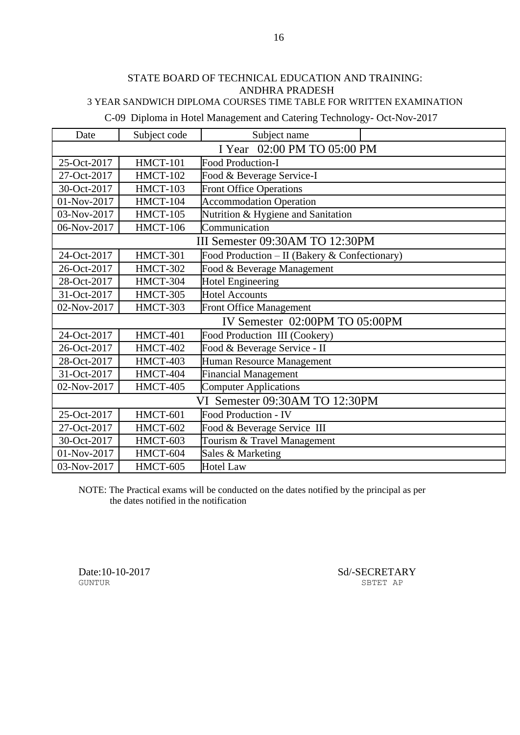### 3 YEAR SANDWICH DIPLOMA COURSES TIME TABLE FOR WRITTEN EXAMINATION

C-09 Diploma in Hotel Management and Catering Technology- Oct-Nov-2017

| Date                           | Subject code                   | Subject name                                  |  |  |
|--------------------------------|--------------------------------|-----------------------------------------------|--|--|
| I Year 02:00 PM TO 05:00 PM    |                                |                                               |  |  |
| 25-Oct-2017                    | <b>HMCT-101</b>                | <b>Food Production-I</b>                      |  |  |
| 27-Oct-2017                    | HMCT-102                       | Food & Beverage Service-I                     |  |  |
| 30-Oct-2017                    | <b>HMCT-103</b>                | <b>Front Office Operations</b>                |  |  |
| 01-Nov-2017                    | HMCT-104                       | <b>Accommodation Operation</b>                |  |  |
| 03-Nov-2017                    | HMCT-105                       | Nutrition & Hygiene and Sanitation            |  |  |
| 06-Nov-2017                    | <b>HMCT-106</b>                | Communication                                 |  |  |
|                                |                                | III Semester 09:30AM TO 12:30PM               |  |  |
| 24-Oct-2017                    | HMCT-301                       | Food Production - II (Bakery & Confectionary) |  |  |
| 26-Oct-2017                    | HMCT-302                       | Food & Beverage Management                    |  |  |
| 28-Oct-2017                    | HMCT-304                       | <b>Hotel Engineering</b>                      |  |  |
| 31-Oct-2017                    | HMCT-305                       | <b>Hotel Accounts</b>                         |  |  |
| 02-Nov-2017                    | HMCT-303                       | <b>Front Office Management</b>                |  |  |
| IV Semester 02:00PM TO 05:00PM |                                |                                               |  |  |
| 24-Oct-2017                    | <b>HMCT-401</b>                | Food Production III (Cookery)                 |  |  |
| 26-Oct-2017                    | HMCT-402                       | Food & Beverage Service - II                  |  |  |
| 28-Oct-2017                    | HMCT-403                       | Human Resource Management                     |  |  |
| 31-Oct-2017                    | HMCT-404                       | <b>Financial Management</b>                   |  |  |
| 02-Nov-2017                    | HMCT-405                       | <b>Computer Applications</b>                  |  |  |
|                                | VI Semester 09:30AM TO 12:30PM |                                               |  |  |
| 25-Oct-2017                    | HMCT-601                       | Food Production - IV                          |  |  |
| 27-Oct-2017                    | <b>HMCT-602</b>                | Food & Beverage Service III                   |  |  |
| 30-Oct-2017                    | HMCT-603                       | Tourism & Travel Management                   |  |  |
| 01-Nov-2017                    | HMCT-604                       | Sales & Marketing                             |  |  |
| 03-Nov-2017                    | HMCT-605                       | <b>Hotel Law</b>                              |  |  |

NOTE: The Practical exams will be conducted on the dates notified by the principal as per the dates notified in the notification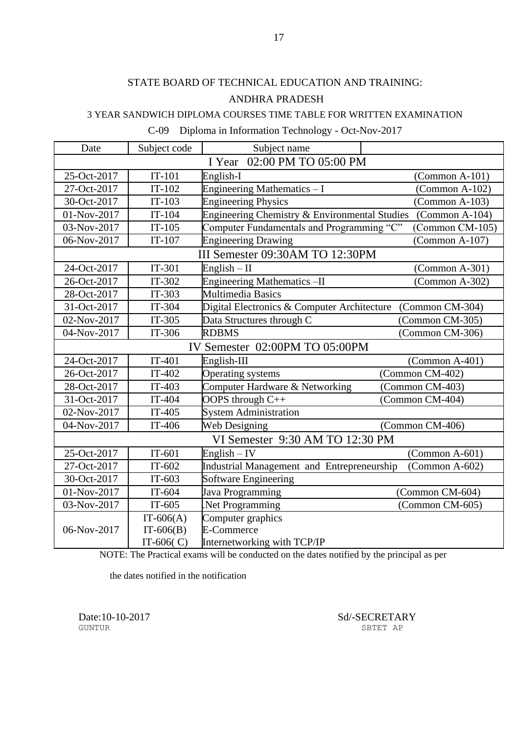#### 3 YEAR SANDWICH DIPLOMA COURSES TIME TABLE FOR WRITTEN EXAMINATION

|  | C-09 Diploma in Information Technology - Oct-Nov-2017 |  |
|--|-------------------------------------------------------|--|
|--|-------------------------------------------------------|--|

| Date                           | Subject code | Subject name                                  |                  |  |
|--------------------------------|--------------|-----------------------------------------------|------------------|--|
| 02:00 PM TO 05:00 PM<br>I Year |              |                                               |                  |  |
| 25-Oct-2017                    | $IT-101$     | English-I                                     | $(Common A-101)$ |  |
| 27-Oct-2017                    | $IT-102$     | Engineering Mathematics - I                   | $(Common A-102)$ |  |
| 30-Oct-2017                    | $IT-103$     | <b>Engineering Physics</b>                    | $(Common A-103)$ |  |
| 01-Nov-2017                    | $IT-104$     | Engineering Chemistry & Environmental Studies | $(Common A-104)$ |  |
| 03-Nov-2017                    | $IT-105$     | Computer Fundamentals and Programming "C"     | (Common CM-105)  |  |
| 06-Nov-2017                    | $IT-107$     | <b>Engineering Drawing</b>                    | $(Common A-107)$ |  |
|                                |              | III Semester 09:30AM TO 12:30PM               |                  |  |
| 24-Oct-2017                    | IT-301       | English $-$ II                                | $(Common A-301)$ |  |
| 26-Oct-2017                    | $IT-302$     | <b>Engineering Mathematics -II</b>            | $(Common A-302)$ |  |
| 28-Oct-2017                    | $IT-303$     | <b>Multimedia Basics</b>                      |                  |  |
| 31-Oct-2017                    | IT-304       | Digital Electronics & Computer Architecture   | (Common CM-304)  |  |
| 02-Nov-2017                    | $IT-305$     | Data Structures through C                     | (Common CM-305)  |  |
| 04-Nov-2017                    | IT-306       | <b>RDBMS</b>                                  | (Common CM-306)  |  |
| IV Semester 02:00PM TO 05:00PM |              |                                               |                  |  |
| 24-Oct-2017                    | $IT-401$     | English-III                                   | $(Common A-401)$ |  |
| 26-Oct-2017                    | $IT-402$     | <b>Operating systems</b>                      | (Common CM-402)  |  |
| 28-Oct-2017                    | $IT-403$     | Computer Hardware & Networking                | (Common CM-403)  |  |
| 31-Oct-2017                    | IT-404       | OOPS through C++                              | (Common CM-404)  |  |
| 02-Nov-2017                    | $IT-405$     | <b>System Administration</b>                  |                  |  |
| 04-Nov-2017                    | IT-406       | Web Designing                                 | (Common CM-406)  |  |
|                                |              | VI Semester 9:30 AM TO 12:30 PM               |                  |  |
| 25-Oct-2017                    | $IT-601$     | English $-$ IV                                | $(Common A-601)$ |  |
| 27-Oct-2017                    | $IT-602$     | Industrial Management and Entrepreneurship    | $(Common A-602)$ |  |
| 30-Oct-2017                    | $IT-603$     | Software Engineering                          |                  |  |
| 01-Nov-2017                    | IT-604       | Java Programming                              | (Common CM-604)  |  |
| 03-Nov-2017                    | $IT-605$     | Net Programming                               | (Common CM-605)  |  |
|                                | $IT-606(A)$  | Computer graphics                             |                  |  |
| 06-Nov-2017                    | $IT-606(B)$  | <b>E-Commerce</b>                             |                  |  |
|                                | IT-606 $(C)$ | Internetworking with TCP/IP                   |                  |  |

NOTE: The Practical exams will be conducted on the dates notified by the principal as per

the dates notified in the notification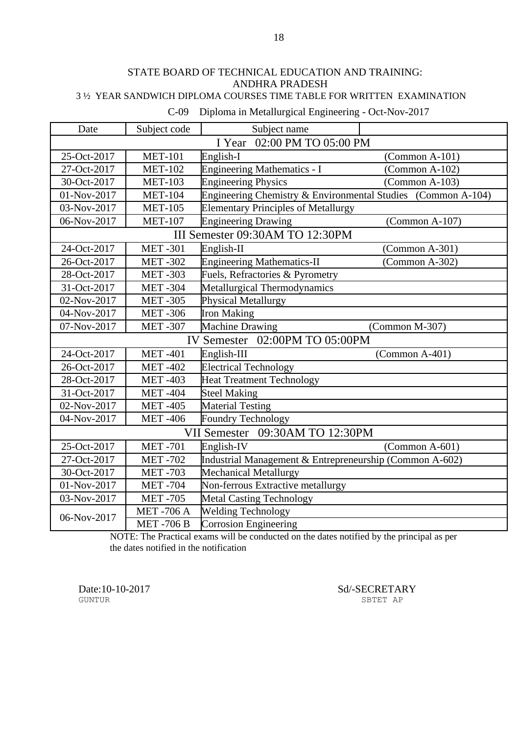#### STATE BOARD OF TECHNICAL EDUCATION AND TRAINING: ANDHRA PRADESH 3 ½ YEAR SANDWICH DIPLOMA COURSES TIME TABLE FOR WRITTEN EXAMINATION

| Date                           | Subject code     | Subject name                                                 |                  |
|--------------------------------|------------------|--------------------------------------------------------------|------------------|
| 02:00 PM TO 05:00 PM<br>I Year |                  |                                                              |                  |
| 25-Oct-2017                    | <b>MET-101</b>   | English-I                                                    | $(Common A-101)$ |
| 27-Oct-2017                    | <b>MET-102</b>   | <b>Engineering Mathematics - I</b>                           | $(Common A-102)$ |
| 30-Oct-2017                    | <b>MET-103</b>   | <b>Engineering Physics</b>                                   | $(Common A-103)$ |
| 01-Nov-2017                    | <b>MET-104</b>   | Engineering Chemistry & Environmental Studies (Common A-104) |                  |
| 03-Nov-2017                    | <b>MET-105</b>   | <b>Elementary Principles of Metallurgy</b>                   |                  |
| 06-Nov-2017                    | <b>MET-107</b>   | <b>Engineering Drawing</b>                                   | (Common A-107)   |
|                                |                  | III Semester 09:30AM TO 12:30PM                              |                  |
| 24-Oct-2017                    | <b>MET-301</b>   | English-II                                                   | (Common A-301)   |
| 26-Oct-2017                    | <b>MET-302</b>   | <b>Engineering Mathematics-II</b>                            | (Common A-302)   |
| 28-Oct-2017                    | <b>MET-303</b>   | Fuels, Refractories & Pyrometry                              |                  |
| 31-Oct-2017                    | <b>MET-304</b>   | Metallurgical Thermodynamics                                 |                  |
| 02-Nov-2017                    | <b>MET-305</b>   | <b>Physical Metallurgy</b>                                   |                  |
| 04-Nov-2017                    | <b>MET-306</b>   | <b>Iron Making</b>                                           |                  |
| 07-Nov-2017                    | <b>MET-307</b>   | <b>Machine Drawing</b>                                       | (Common M-307)   |
| IV Semester 02:00PM TO 05:00PM |                  |                                                              |                  |
| 24-Oct-2017                    | <b>MET-401</b>   | English-III                                                  | $(Common A-401)$ |
| 26-Oct-2017                    | <b>MET-402</b>   | <b>Electrical Technology</b>                                 |                  |
| 28-Oct-2017                    | <b>MET-403</b>   | <b>Heat Treatment Technology</b>                             |                  |
| 31-Oct-2017                    | <b>MET-404</b>   | <b>Steel Making</b>                                          |                  |
| 02-Nov-2017                    | <b>MET-405</b>   | <b>Material Testing</b>                                      |                  |
| 04-Nov-2017                    | <b>MET-406</b>   | <b>Foundry Technology</b>                                    |                  |
|                                |                  | 09:30AM TO 12:30PM<br><b>VII Semester</b>                    |                  |
| 25-Oct-2017                    | <b>MET-701</b>   | English-IV                                                   | $(Common A-601)$ |
| 27-Oct-2017                    | <b>MET-702</b>   | Industrial Management & Entrepreneurship (Common A-602)      |                  |
| 30-Oct-2017                    | <b>MET-703</b>   | <b>Mechanical Metallurgy</b>                                 |                  |
| 01-Nov-2017                    | <b>MET-704</b>   | Non-ferrous Extractive metallurgy                            |                  |
| 03-Nov-2017                    | <b>MET-705</b>   | <b>Metal Casting Technology</b>                              |                  |
|                                | <b>MET-706 A</b> | <b>Welding Technology</b>                                    |                  |
| 06-Nov-2017                    | <b>MET-706 B</b> | <b>Corrosion Engineering</b>                                 |                  |

C-09 Diploma in Metallurgical Engineering - Oct-Nov-2017

NOTE: The Practical exams will be conducted on the dates notified by the principal as per the dates notified in the notification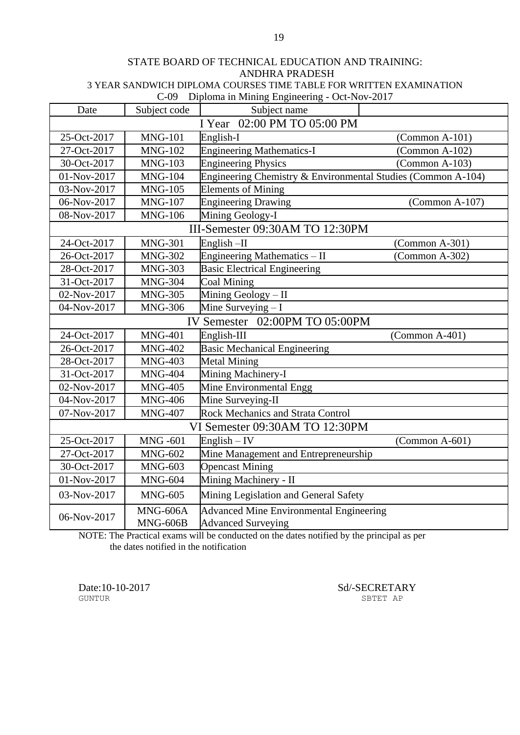#### STATE BOARD OF TECHNICAL EDUCATION AND TRAINING: ANDHRA PRADESH 3 YEAR SANDWICH DIPLOMA COURSES TIME TABLE FOR WRITTEN EXAMINATION C-09 Diploma in Mining Engineering - Oct-Nov-2017

|                                |                      | $P_{\rm P1}$<br>OVIIVIVIV 2017                                       |                  |
|--------------------------------|----------------------|----------------------------------------------------------------------|------------------|
| Date                           | Subject code         | Subject name                                                         |                  |
| I Year 02:00 PM TO 05:00 PM    |                      |                                                                      |                  |
| 25-Oct-2017                    | <b>MNG-101</b>       | English-I                                                            | $(Common A-101)$ |
| 27-Oct-2017                    | <b>MNG-102</b>       | <b>Engineering Mathematics-I</b>                                     | $(Common A-102)$ |
| 30-Oct-2017                    | <b>MNG-103</b>       | <b>Engineering Physics</b>                                           | $(Common A-103)$ |
| 01-Nov-2017                    | <b>MNG-104</b>       | Engineering Chemistry & Environmental Studies (Common A-104)         |                  |
| 03-Nov-2017                    | <b>MNG-105</b>       | <b>Elements of Mining</b>                                            |                  |
| 06-Nov-2017                    | <b>MNG-107</b>       | <b>Engineering Drawing</b>                                           | $(Common A-107)$ |
| 08-Nov-2017                    | <b>MNG-106</b>       | Mining Geology-I                                                     |                  |
|                                |                      | III-Semester 09:30AM TO 12:30PM                                      |                  |
| 24-Oct-2017                    | <b>MNG-301</b>       | English-II                                                           | $(Common A-301)$ |
| 26-Oct-2017                    | <b>MNG-302</b>       | Engineering Mathematics - II                                         | $(Common A-302)$ |
| 28-Oct-2017                    | <b>MNG-303</b>       | <b>Basic Electrical Engineering</b>                                  |                  |
| 31-Oct-2017                    | <b>MNG-304</b>       | <b>Coal Mining</b>                                                   |                  |
| 02-Nov-2017                    | <b>MNG-305</b>       | Mining Geology - II                                                  |                  |
| 04-Nov-2017                    | <b>MNG-306</b>       | Mine Surveying $-I$                                                  |                  |
| IV Semester 02:00PM TO 05:00PM |                      |                                                                      |                  |
| 24-Oct-2017                    | <b>MNG-401</b>       | English-III                                                          | $(Common A-401)$ |
| 26-Oct-2017                    | <b>MNG-402</b>       | <b>Basic Mechanical Engineering</b>                                  |                  |
| 28-Oct-2017                    | <b>MNG-403</b>       | <b>Metal Mining</b>                                                  |                  |
| 31-Oct-2017                    | <b>MNG-404</b>       | Mining Machinery-I                                                   |                  |
| 02-Nov-2017                    | <b>MNG-405</b>       | Mine Environmental Engg                                              |                  |
| 04-Nov-2017                    | <b>MNG-406</b>       | Mine Surveying-II                                                    |                  |
| 07-Nov-2017                    | <b>MNG-407</b>       | Rock Mechanics and Strata Control                                    |                  |
|                                |                      | VI Semester 09:30AM TO 12:30PM                                       |                  |
| 25-Oct-2017                    | <b>MNG-601</b>       | $English - IV$                                                       | $(Common A-601)$ |
| 27-Oct-2017                    | <b>MNG-602</b>       | Mine Management and Entrepreneurship                                 |                  |
| 30-Oct-2017                    | <b>MNG-603</b>       | <b>Opencast Mining</b>                                               |                  |
| 01-Nov-2017                    | <b>MNG-604</b>       | Mining Machinery - II                                                |                  |
| 03-Nov-2017                    | <b>MNG-605</b>       | Mining Legislation and General Safety                                |                  |
| 06-Nov-2017                    | MNG-606A<br>MNG-606B | Advanced Mine Environmental Engineering<br><b>Advanced Surveying</b> |                  |

NOTE: The Practical exams will be conducted on the dates notified by the principal as per the dates notified in the notification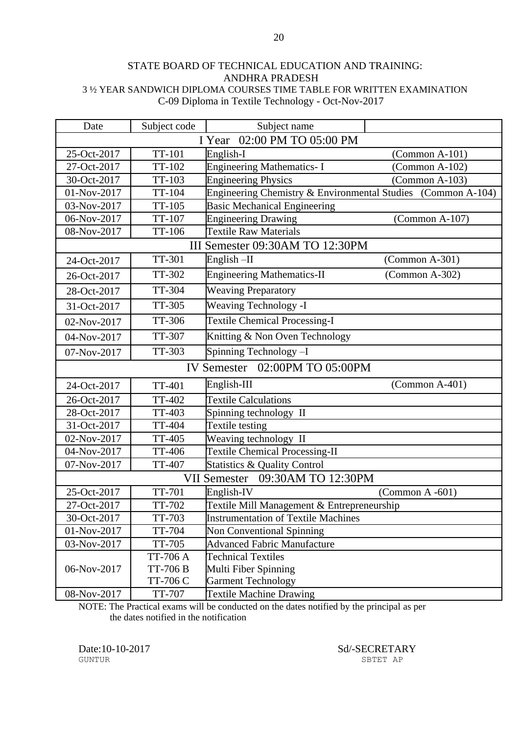#### STATE BOARD OF TECHNICAL EDUCATION AND TRAINING: ANDHRA PRADESH 3 ½ YEAR SANDWICH DIPLOMA COURSES TIME TABLE FOR WRITTEN EXAMINATION C-09 Diploma in Textile Technology - Oct-Nov-2017

| Date                           | Subject code    | Subject name                                                 |                    |
|--------------------------------|-----------------|--------------------------------------------------------------|--------------------|
| 02:00 PM TO 05:00 PM<br>I Year |                 |                                                              |                    |
| 25-Oct-2017                    | <b>TT-101</b>   | English-I                                                    | $(Common A-101)$   |
| 27-Oct-2017                    | TT-102          | <b>Engineering Mathematics-I</b>                             | $(Common A-102)$   |
| 30-Oct-2017                    | TT-103          | <b>Engineering Physics</b>                                   | $(Common A-103)$   |
| 01-Nov-2017                    | TT-104          | Engineering Chemistry & Environmental Studies (Common A-104) |                    |
| 03-Nov-2017                    | TT-105          | <b>Basic Mechanical Engineering</b>                          |                    |
| 06-Nov-2017                    | TT-107          | <b>Engineering Drawing</b>                                   | $(Common A-107)$   |
| 08-Nov-2017                    | TT-106          | <b>Textile Raw Materials</b>                                 |                    |
|                                |                 | III Semester 09:30AM TO 12:30PM                              |                    |
| 24-Oct-2017                    | TT-301          | English $-II$                                                | $(Common A-301)$   |
| 26-Oct-2017                    | TT-302          | <b>Engineering Mathematics-II</b>                            | $(Common A-302)$   |
| 28-Oct-2017                    | TT-304          | <b>Weaving Preparatory</b>                                   |                    |
| 31-Oct-2017                    | <b>TT-305</b>   | <b>Weaving Technology -I</b>                                 |                    |
| 02-Nov-2017                    | TT-306          | <b>Textile Chemical Processing-I</b>                         |                    |
| 04-Nov-2017                    | TT-307          | Knitting & Non Oven Technology                               |                    |
| 07-Nov-2017                    | TT-303          | Spinning Technology-I                                        |                    |
| IV Semester 02:00PM TO 05:00PM |                 |                                                              |                    |
| 24-Oct-2017                    | <b>TT-401</b>   | English-III                                                  | $(Common A-401)$   |
| 26-Oct-2017                    | <b>TT-402</b>   | <b>Textile Calculations</b>                                  |                    |
| 28-Oct-2017                    | TT-403          | Spinning technology II                                       |                    |
| 31-Oct-2017                    | <b>TT-404</b>   | Textile testing                                              |                    |
| 02-Nov-2017                    | <b>TT-405</b>   | Weaving technology II                                        |                    |
| 04-Nov-2017                    | TT-406          | <b>Textile Chemical Processing-II</b>                        |                    |
| 07-Nov-2017                    | <b>TT-407</b>   | <b>Statistics &amp; Quality Control</b>                      |                    |
|                                |                 | 09:30AM TO 12:30PM<br><b>VII Semester</b>                    |                    |
| 25-Oct-2017                    | <b>TT-701</b>   | English-IV                                                   | $(Common A - 601)$ |
| 27-Oct-2017                    | <b>TT-702</b>   | Textile Mill Management & Entrepreneurship                   |                    |
| 30-Oct-2017                    | TT-703          | <b>Instrumentation of Textile Machines</b>                   |                    |
| 01-Nov-2017                    | <b>TT-704</b>   | Non Conventional Spinning                                    |                    |
| 03-Nov-2017                    | TT-705          | <b>Advanced Fabric Manufacture</b>                           |                    |
|                                | <b>TT-706 A</b> | <b>Technical Textiles</b>                                    |                    |
| 06-Nov-2017                    | <b>TT-706 B</b> | Multi Fiber Spinning                                         |                    |
|                                | TT-706 C        | <b>Garment Technology</b>                                    |                    |
| 08-Nov-2017                    | TT-707          | <b>Textile Machine Drawing</b>                               |                    |

NOTE: The Practical exams will be conducted on the dates notified by the principal as per the dates notified in the notification

GUNTUR SBTET AP

Date:10-10-2017 Sd/-SECRETARY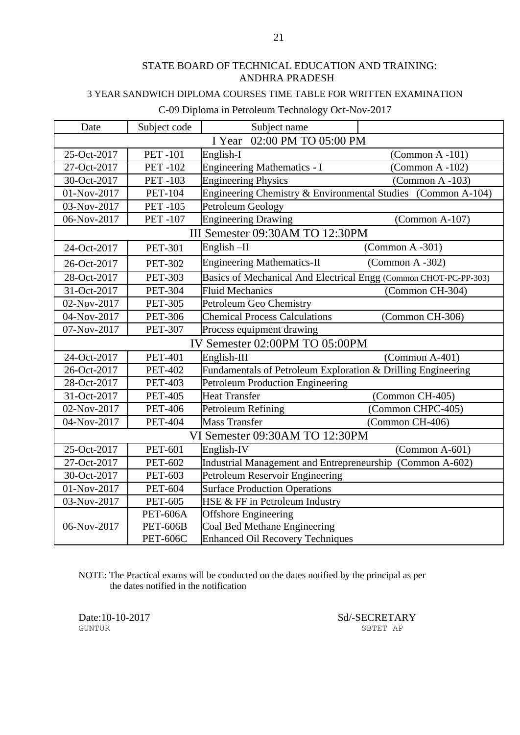### 3 YEAR SANDWICH DIPLOMA COURSES TIME TABLE FOR WRITTEN EXAMINATION

#### C-09 Diploma in Petroleum Technology Oct-Nov-2017

| Date                           | Subject code    | Subject name                                                     |                    |
|--------------------------------|-----------------|------------------------------------------------------------------|--------------------|
|                                |                 | 02:00 PM TO 05:00 PM<br>I Year                                   |                    |
| 25-Oct-2017                    | <b>PET-101</b>  | English-I                                                        | $(Common A - 101)$ |
| 27-Oct-2017                    | <b>PET-102</b>  | <b>Engineering Mathematics - I</b>                               | (Common A-102)     |
| 30-Oct-2017                    | <b>PET-103</b>  | <b>Engineering Physics</b>                                       | $(Common A - 103)$ |
| 01-Nov-2017                    | <b>PET-104</b>  | Engineering Chemistry & Environmental Studies (Common A-104)     |                    |
| 03-Nov-2017                    | <b>PET-105</b>  | Petroleum Geology                                                |                    |
| 06-Nov-2017                    | <b>PET-107</b>  | <b>Engineering Drawing</b>                                       | (Common A-107)     |
|                                |                 | III Semester 09:30AM TO 12:30PM                                  |                    |
| 24-Oct-2017                    | <b>PET-301</b>  | English-II                                                       | $(Common A - 301)$ |
| 26-Oct-2017                    | <b>PET-302</b>  | <b>Engineering Mathematics-II</b>                                | $(Common A - 302)$ |
| 28-Oct-2017                    | <b>PET-303</b>  | Basics of Mechanical And Electrical Engg (Common CHOT-PC-PP-303) |                    |
| 31-Oct-2017                    | <b>PET-304</b>  | <b>Fluid Mechanics</b>                                           | (Common CH-304)    |
| 02-Nov-2017                    | <b>PET-305</b>  | Petroleum Geo Chemistry                                          |                    |
| 04-Nov-2017                    | <b>PET-306</b>  | <b>Chemical Process Calculations</b>                             | (Common CH-306)    |
| 07-Nov-2017                    | <b>PET-307</b>  | Process equipment drawing                                        |                    |
| IV Semester 02:00PM TO 05:00PM |                 |                                                                  |                    |
| 24-Oct-2017                    | <b>PET-401</b>  | English-III                                                      | (Common A-401)     |
| 26-Oct-2017                    | <b>PET-402</b>  | Fundamentals of Petroleum Exploration & Drilling Engineering     |                    |
| 28-Oct-2017                    | <b>PET-403</b>  | <b>Petroleum Production Engineering</b>                          |                    |
| 31-Oct-2017                    | <b>PET-405</b>  | <b>Heat Transfer</b>                                             | (Common CH-405)    |
| 02-Nov-2017                    | <b>PET-406</b>  | Petroleum Refining                                               | (Common CHPC-405)  |
| 04-Nov-2017                    | <b>PET-404</b>  | <b>Mass Transfer</b>                                             | (Common CH-406)    |
|                                |                 | VI Semester 09:30AM TO 12:30PM                                   |                    |
| 25-Oct-2017                    | <b>PET-601</b>  | English-IV                                                       | $(Common A-601)$   |
| 27-Oct-2017                    | <b>PET-602</b>  | Industrial Management and Entrepreneurship (Common A-602)        |                    |
| 30-Oct-2017                    | <b>PET-603</b>  | Petroleum Reservoir Engineering                                  |                    |
| 01-Nov-2017                    | <b>PET-604</b>  | <b>Surface Production Operations</b>                             |                    |
| 03-Nov-2017                    | <b>PET-605</b>  | HSE & FF in Petroleum Industry                                   |                    |
|                                | <b>PET-606A</b> | <b>Offshore Engineering</b>                                      |                    |
| 06-Nov-2017                    | <b>PET-606B</b> | Coal Bed Methane Engineering                                     |                    |
|                                | <b>PET-606C</b> | <b>Enhanced Oil Recovery Techniques</b>                          |                    |

NOTE: The Practical exams will be conducted on the dates notified by the principal as per the dates notified in the notification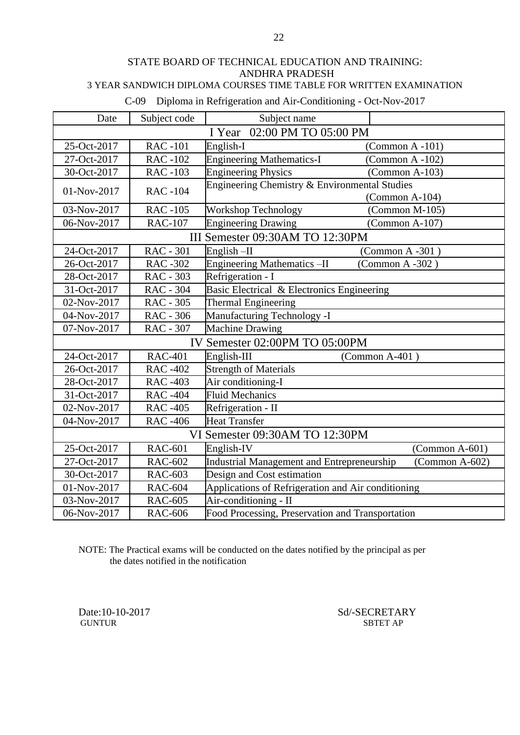#### STATE BOARD OF TECHNICAL EDUCATION AND TRAINING: ANDHRA PRADESH 3 YEAR SANDWICH DIPLOMA COURSES TIME TABLE FOR WRITTEN EXAMINATION

| し‐∪ソー<br>Diploma in Refrigeration and Air-Conditioning - Oct-Nov-2017 |                  |                                                       |                     |
|-----------------------------------------------------------------------|------------------|-------------------------------------------------------|---------------------|
| Date                                                                  | Subject code     | Subject name                                          |                     |
| 02:00 PM TO 05:00 PM<br>I Year                                        |                  |                                                       |                     |
| 25-Oct-2017                                                           | <b>RAC-101</b>   | English-I                                             | $(Common A - 101)$  |
| 27-Oct-2017                                                           | <b>RAC-102</b>   | <b>Engineering Mathematics-I</b>                      | (Common $A - 102$ ) |
| 30-Oct-2017                                                           | <b>RAC-103</b>   | <b>Engineering Physics</b>                            | $(Common A-103)$    |
| 01-Nov-2017                                                           | <b>RAC-104</b>   | Engineering Chemistry & Environmental Studies         |                     |
|                                                                       |                  |                                                       | $(Common A-104)$    |
| 03-Nov-2017                                                           | <b>RAC-105</b>   | <b>Workshop Technology</b>                            | (Common M-105)      |
| 06-Nov-2017                                                           | <b>RAC-107</b>   | <b>Engineering Drawing</b>                            | $(Common A-107)$    |
|                                                                       |                  | III Semester 09:30AM TO 12:30PM                       |                     |
| 24-Oct-2017                                                           | <b>RAC - 301</b> | English-II<br>(Common A-301)                          |                     |
| 26-Oct-2017                                                           | <b>RAC-302</b>   | <b>Engineering Mathematics -II</b><br>(Common A -302) |                     |
| 28-Oct-2017                                                           | RAC - 303        | Refrigeration - I                                     |                     |
| 31-Oct-2017                                                           | <b>RAC - 304</b> | Basic Electrical & Electronics Engineering            |                     |
| 02-Nov-2017                                                           | RAC - 305        | <b>Thermal Engineering</b>                            |                     |
| 04-Nov-2017                                                           | RAC - 306        | Manufacturing Technology -I                           |                     |
| 07-Nov-2017                                                           | RAC - 307        | <b>Machine Drawing</b>                                |                     |
| IV Semester 02:00PM TO 05:00PM                                        |                  |                                                       |                     |
| 24-Oct-2017                                                           | <b>RAC-401</b>   | English-III<br>(Common A-401)                         |                     |
| 26-Oct-2017                                                           | <b>RAC-402</b>   | <b>Strength of Materials</b>                          |                     |
| 28-Oct-2017                                                           | <b>RAC-403</b>   | Air conditioning-I                                    |                     |
| 31-Oct-2017                                                           | <b>RAC-404</b>   | <b>Fluid Mechanics</b>                                |                     |
| 02-Nov-2017                                                           | <b>RAC-405</b>   | Refrigeration - II                                    |                     |
| 04-Nov-2017                                                           | <b>RAC-406</b>   | <b>Heat Transfer</b>                                  |                     |
|                                                                       |                  | VI Semester 09:30AM TO 12:30PM                        |                     |
| 25-Oct-2017                                                           | <b>RAC-601</b>   | English-IV                                            | $(Common A-601)$    |
| 27-Oct-2017                                                           | <b>RAC-602</b>   | Industrial Management and Entrepreneurship            | (Common A-602)      |
| 30-Oct-2017                                                           | <b>RAC-603</b>   | Design and Cost estimation                            |                     |
| 01-Nov-2017                                                           | <b>RAC-604</b>   | Applications of Refrigeration and Air conditioning    |                     |
| 03-Nov-2017                                                           | <b>RAC-605</b>   | Air-conditioning - II                                 |                     |
| 06-Nov-2017                                                           | <b>RAC-606</b>   | Food Processing, Preservation and Transportation      |                     |

C-09 Diploma in Refrigeration and Air-Conditioning - Oct-Nov-2017

NOTE: The Practical exams will be conducted on the dates notified by the principal as per the dates notified in the notification

GUNTUR SBTET AP

Date:10-10-2017 Sd/-SECRETARY